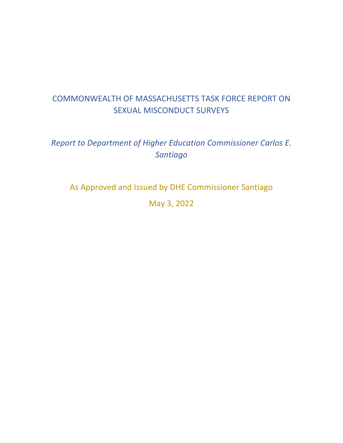# COMMONWEALTH OF MASSACHUSETTS TASK FORCE REPORT ON SEXUAL MISCONDUCT SURVEYS

# *Report to Department of Higher Education Commissioner Carlos E. Santiago*

As Approved and Issued by DHE Commissioner Santiago

May 3, 2022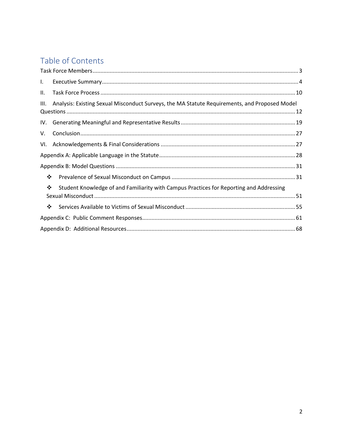# Table of Contents

| L.   |                                                                                               |  |
|------|-----------------------------------------------------------------------------------------------|--|
| П.   |                                                                                               |  |
| III. | Analysis: Existing Sexual Misconduct Surveys, the MA Statute Requirements, and Proposed Model |  |
|      |                                                                                               |  |
| V.   |                                                                                               |  |
| VI.  |                                                                                               |  |
|      |                                                                                               |  |
|      |                                                                                               |  |
| ❖    |                                                                                               |  |
| ❖    | Student Knowledge of and Familiarity with Campus Practices for Reporting and Addressing       |  |
| ❖    |                                                                                               |  |
|      |                                                                                               |  |
|      |                                                                                               |  |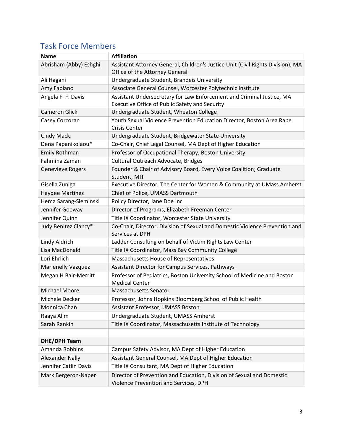<span id="page-2-0"></span>

| <b>Name</b>               | <b>Affiliation</b>                                                                                                      |  |  |  |
|---------------------------|-------------------------------------------------------------------------------------------------------------------------|--|--|--|
| Abrisham (Abby) Eshghi    | Assistant Attorney General, Children's Justice Unit (Civil Rights Division), MA                                         |  |  |  |
|                           | Office of the Attorney General                                                                                          |  |  |  |
| Ali Hagani                | Undergraduate Student, Brandeis University                                                                              |  |  |  |
| Amy Fabiano               | Associate General Counsel, Worcester Polytechnic Institute                                                              |  |  |  |
| Angela F. F. Davis        | Assistant Undersecretary for Law Enforcement and Criminal Justice, MA<br>Executive Office of Public Safety and Security |  |  |  |
| <b>Cameron Glick</b>      | Undergraduate Student, Wheaton College                                                                                  |  |  |  |
| Casey Corcoran            | Youth Sexual Violence Prevention Education Director, Boston Area Rape<br><b>Crisis Center</b>                           |  |  |  |
| <b>Cindy Mack</b>         | Undergraduate Student, Bridgewater State University                                                                     |  |  |  |
| Dena Papanikolaou*        | Co-Chair, Chief Legal Counsel, MA Dept of Higher Education                                                              |  |  |  |
| Emily Rothman             | Professor of Occupational Therapy, Boston University                                                                    |  |  |  |
| Fahmina Zaman             | Cultural Outreach Advocate, Bridges                                                                                     |  |  |  |
| Genevieve Rogers          | Founder & Chair of Advisory Board, Every Voice Coalition; Graduate<br>Student, MIT                                      |  |  |  |
| Gisella Zuniga            | Executive Director, The Center for Women & Community at UMass Amherst                                                   |  |  |  |
| Haydee Martinez           | Chief of Police, UMASS Dartmouth                                                                                        |  |  |  |
| Hema Sarang-Sieminski     | Policy Director, Jane Doe Inc                                                                                           |  |  |  |
| Jennifer Goeway           | Director of Programs, Elizabeth Freeman Center                                                                          |  |  |  |
| Jennifer Quinn            | Title IX Coordinator, Worcester State University                                                                        |  |  |  |
| Judy Benitez Clancy*      | Co-Chair, Director, Division of Sexual and Domestic Violence Prevention and<br>Services at DPH                          |  |  |  |
| Lindy Aldrich             | Ladder Consulting on behalf of Victim Rights Law Center                                                                 |  |  |  |
| Lisa MacDonald            | Title IX Coordinator, Mass Bay Community College                                                                        |  |  |  |
| Lori Ehrlich              | Massachusetts House of Representatives                                                                                  |  |  |  |
| <b>Marienelly Vazquez</b> | Assistant Director for Campus Services, Pathways                                                                        |  |  |  |
| Megan H Bair-Merritt      | Professor of Pediatrics, Boston University School of Medicine and Boston<br><b>Medical Center</b>                       |  |  |  |
| <b>Michael Moore</b>      | Massachusetts Senator                                                                                                   |  |  |  |
| Michele Decker            | Professor, Johns Hopkins Bloomberg School of Public Health                                                              |  |  |  |
| Monnica Chan              | Assistant Professor, UMASS Boston                                                                                       |  |  |  |
| Raaya Alim                | Undergraduate Student, UMASS Amherst                                                                                    |  |  |  |
| Sarah Rankin              | Title IX Coordinator, Massachusetts Institute of Technology                                                             |  |  |  |
|                           |                                                                                                                         |  |  |  |
| <b>DHE/DPH Team</b>       |                                                                                                                         |  |  |  |
| Amanda Robbins            | Campus Safety Advisor, MA Dept of Higher Education                                                                      |  |  |  |
| <b>Alexander Nally</b>    | Assistant General Counsel, MA Dept of Higher Education                                                                  |  |  |  |
| Jennifer Catlin Davis     | Title IX Consultant, MA Dept of Higher Education                                                                        |  |  |  |
| Mark Bergeron-Naper       | Director of Prevention and Education, Division of Sexual and Domestic<br>Violence Prevention and Services, DPH          |  |  |  |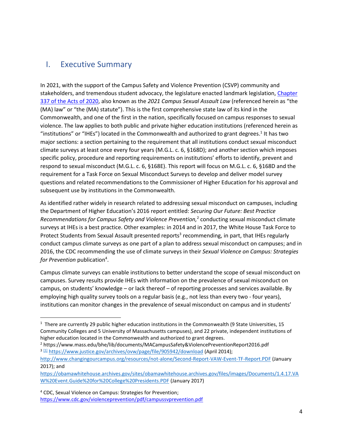## <span id="page-3-0"></span>I. Executive Summary

In 2021, with the support of the Campus Safety and Violence Prevention (CSVP) community and stakeholders, and tremendous student advocacy, the legislature enacted landmark legislation, Chapter [337 of the Acts of 2020,](https://malegislature.gov/Laws/SessionLaws/Acts/2020/Chapter337#:~:text=AN%20ACT%20PROVIDING%20FOR%20VIRTUAL,CHALLENGES%20RELATED%20TO%20COVID%2D19.&text=AN%20ACT%20CREATING%20A%20NEXT%2DGENERATION%20ROADMAP%20FOR%20MASSACHUSETTS%20CLIMATE%20POLICY.&text=AN%20ACT%20RELATIVE%20TO%20JUSTICE,LAW%20ENFORCEMENT%20IN%20THE%20COMMONWEALTH.) also known as the *2021 Campus Sexual Assault Law* (referenced herein as "the (MA) law" or "the (MA) statute"). This is the first comprehensive state law of its kind in the Commonwealth, and one of the first in the nation, specifically focused on campus responses to sexual violence. The law applies to both public and private higher education institutions (referenced herein as "institutions" or "IHEs") located in the Commonwealth and authorized to grant degrees.<sup>1</sup> It has two major sections: a section pertaining to the requirement that all institutions conduct sexual misconduct climate surveys at least once every four years (M.G.L. c. 6, §168D); and another section which imposes specific policy, procedure and reporting requirements on institutions' efforts to identify, prevent and respond to sexual misconduct (M.G.L. c. 6, §168E). This report will focus on M.G.L. c. 6, §168D and the requirement for a Task Force on Sexual Misconduct Surveys to develop and deliver model survey questions and related recommendations to the Commissioner of Higher Education for his approval and subsequent use by institutions in the Commonwealth.

As identified rather widely in research related to addressing sexual misconduct on campuses, including the Department of Higher Education's 2016 report entitled: *Securing Our Future: Best Practice*  Recommendations for Campus Safety and Violence Prevention,<sup>2</sup> conducting sexual misconduct climate surveys at IHEs is a best practice. Other examples: in 2014 and in 2017, the White House Task Force to Protect Students from Sexual Assault presented reports<sup>3</sup> recommending, in part, that IHEs regularly conduct campus climate surveys as one part of a plan to address sexual misconduct on campuses; and in 2016, the CDC recommending the use of climate surveys in their *Sexual Violence on Campus: Strategies*  for Prevention publication<sup>4</sup>.

Campus climate surveys can enable institutions to better understand the scope of sexual misconduct on campuses. Survey results provide IHEs with information on the prevalence of sexual misconduct on campus, on students' knowledge – or lack thereof – of reporting processes and services available. By employing high quality survey tools on a regular basis (e.g., not less than every two - four years), institutions can monitor changes in the prevalence of sexual misconduct on campus and in students'

<sup>4</sup> CDC, Sexual Violence on Campus: Strategies for Prevention; <https://www.cdc.gov/violenceprevention/pdf/campussvprevention.pdf>

<sup>&</sup>lt;sup>1</sup> There are currently 29 public higher education institutions in the Commonwealth (9 State Universities, 15 Community Colleges and 5 University of Massachusetts campuses), and 22 private, independent institutions of higher education located in the Commonwealth and authorized to grant degrees.

<sup>2</sup> https://www.mass.edu/bhe/lib/documents/MACampusSafety&ViolencePreventionReport2016.pdf <sup>3 [1]</sup> https://www.justice.gov/archives/ovw/page/file/905942/download (April 2014);

http://www.changingourcampus.org/resources/not-alone/Second-Report-VAW-Event-TF-Report.PDF (January 2017); and

https://obamawhitehouse.archives.gov/sites/obamawhitehouse.archives.gov/files/images/Documents/1.4.17.VA W%20Event.Guide%20for%20College%20Presidents.PDF (January 2017)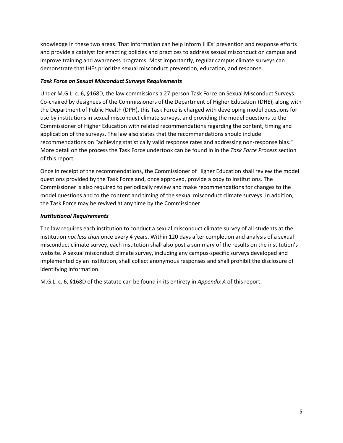knowledge in these two areas. That information can help inform IHEs' prevention and response efforts and provide a catalyst for enacting policies and practices to address sexual misconduct on campus and improve training and awareness programs. Most importantly, regular campus climate surveys can demonstrate that IHEs prioritize sexual misconduct prevention, education, and response.

## *Task Force on Sexual Misconduct Surveys Requirements*

Under M.G.L. c. 6, §168D, the law commissions a 27-person Task Force on Sexual Misconduct Surveys. Co-chaired by designees of the Commissioners of the Department of Higher Education (DHE), along with the Department of Public Health (DPH), this Task Force is charged with developing model questions for use by institutions in sexual misconduct climate surveys, and providing the model questions to the Commissioner of Higher Education with related recommendations regarding the content, timing and application of the surveys. The law also states that the recommendations should include recommendations on "achieving statistically valid response rates and addressing non-response bias." More detail on the process the Task Force undertook can be found in in the *Task Force Process* section of this report.

Once in receipt of the recommendations, the Commissioner of Higher Education shall review the model questions provided by the Task Force and, once approved, provide a copy to institutions. The Commissioner is also required to periodically review and make recommendations for changes to the model questions and to the content and timing of the sexual misconduct climate surveys. In addition, the Task Force may be revived at any time by the Commissioner.

## *Institutional Requirements*

The law requires each institution to conduct a sexual misconduct climate survey of all students at the institution *not less than* once every 4 years. Within 120 days after completion and analysis of a sexual misconduct climate survey, each institution shall also post a summary of the results on the institution's website. A sexual misconduct climate survey, including any campus-specific surveys developed and implemented by an institution, shall collect anonymous responses and shall prohibit the disclosure of identifying information.

M.G.L. c. 6, §168D of the statute can be found in its entirety in *Appendix A* of this report.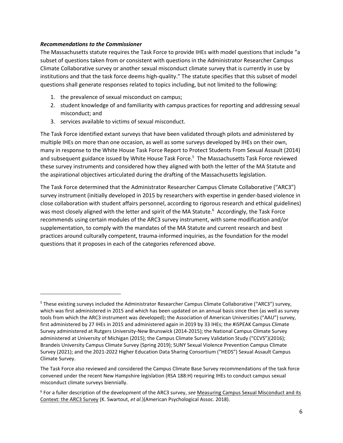## *Recommendations to the Commissioner*

The Massachusetts statute requires the Task Force to provide IHEs with model questions that include "a subset of questions taken from or consistent with questions in the Administrator Researcher Campus Climate Collaborative survey or another sexual misconduct climate survey that is currently in use by institutions and that the task force deems high-quality." The statute specifies that this subset of model questions shall generate responses related to topics including, but not limited to the following:

- 1. the prevalence of sexual misconduct on campus;
- 2. student knowledge of and familiarity with campus practices for reporting and addressing sexual misconduct; and
- 3. services available to victims of sexual misconduct.

The Task Force identified extant surveys that have been validated through pilots and administered by multiple IHEs on more than one occasion, as well as some surveys developed by IHEs on their own, many in response to the White House Task Force Report to Protect Students From Sexual Assault (2014) and subsequent guidance issued by White House Task Force. 5 The Massachusetts Task Force reviewed these survey instruments and considered how they aligned with both the letter of the MA Statute and the aspirational objectives articulated during the drafting of the Massachusetts legislation.

The Task Force determined that the Administrator Researcher Campus Climate Collaborative ("ARC3") survey instrument (initially developed in 2015 by researchers with expertise in gender-based violence in close collaboration with student affairs personnel, according to rigorous research and ethical guidelines) was most closely aligned with the letter and spirit of the MA Statute.<sup>6</sup> Accordingly, the Task Force recommends using certain modules of the ARC3 survey instrument, with some modification and/or supplementation, to comply with the mandates of the MA Statute and current research and best practices around culturally competent, trauma-informed inquiries, as the foundation for the model questions that it proposes in each of the categories referenced above.

<sup>5</sup> These existing surveys included the Administrator Researcher Campus Climate Collaborative ("ARC3") survey, which was first administered in 2015 and which has been updated on an annual basis since then (as well as survey tools from which the ARC3 instrument was developed); the Association of American Universities ("AAU") survey, first administered by 27 IHEs in 2015 and administered again in 2019 by 33 IHEs; the #iSPEAK Campus Climate Survey administered at Rutgers University-New Brunswick (2014-2015); the National Campus Climate Survey administered at University of Michigan (2015); the Campus Climate Survey Validation Study ("CCVS")(2016); Brandeis University Campus Climate Survey (Spring 2019); SUNY Sexual Violence Prevention Campus Climate Survey (2021); and the 2021-2022 Higher Education Data Sharing Consortium ("HEDS") Sexual Assault Campus Climate Survey.

The Task Force also reviewed and considered the Campus Climate Base Survey recommendations of the task force convened under the recent New Hampshire legislation (RSA 188:H) requiring IHEs to conduct campus sexual misconduct climate surveys biennially.

<sup>6</sup> For a fuller description of the development of the ARC3 survey, *see* Measuring Campus Sexual Misconduct and its Context: the ARC3 Survey (K. Swartout, *et al.*)(American Psychological Assoc. 2018).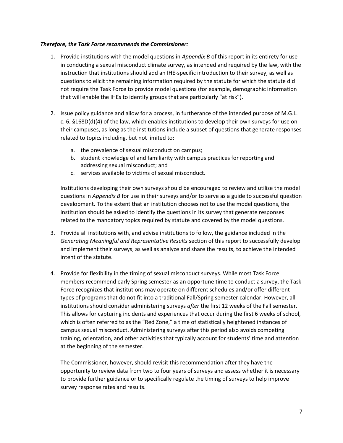#### *Therefore, the Task Force recommends the Commissioner:*

- 1. Provide institutions with the model questions in *Appendix B* of this report in its entirety for use in conducting a sexual misconduct climate survey, as intended and required by the law, with the instruction that institutions should add an IHE-specific introduction to their survey, as well as questions to elicit the remaining information required by the statute for which the statute did not require the Task Force to provide model questions (for example, demographic information that will enable the IHEs to identify groups that are particularly "at risk").
- 2. Issue policy guidance and allow for a process, in furtherance of the intended purpose of M.G.L. c. 6, §168D(d)(4) of the law, which enables institutions to develop their own surveys for use on their campuses, as long as the institutions include a subset of questions that generate responses related to topics including, but not limited to:
	- a. the prevalence of sexual misconduct on campus;
	- b. student knowledge of and familiarity with campus practices for reporting and addressing sexual misconduct; and
	- c. services available to victims of sexual misconduct.

Institutions developing their own surveys should be encouraged to review and utilize the model questions in *Appendix B* for use in their surveys and/or to serve as a guide to successful question development. To the extent that an institution chooses not to use the model questions, the institution should be asked to identify the questions in its survey that generate responses related to the mandatory topics required by statute and covered by the model questions.

- 3. Provide all institutions with, and advise institutions to follow, the guidance included in the *Generating Meaningful and Representative Results* section of this report to successfully develop and implement their surveys, as well as analyze and share the results, to achieve the intended intent of the statute.
- 4. Provide for flexibility in the timing of sexual misconduct surveys. While most Task Force members recommend early Spring semester as an opportune time to conduct a survey, the Task Force recognizes that institutions may operate on different schedules and/or offer different types of programs that do not fit into a traditional Fall/Spring semester calendar. However, all institutions should consider administering surveys *after* the first 12 weeks of the Fall semester. This allows for capturing incidents and experiences that occur during the first 6 weeks of school, which is often referred to as the "Red Zone," a time of statistically heightened instances of campus sexual misconduct. Administering surveys after this period also avoids competing training, orientation, and other activities that typically account for students' time and attention at the beginning of the semester.

The Commissioner, however, should revisit this recommendation after they have the opportunity to review data from two to four years of surveys and assess whether it is necessary to provide further guidance or to specifically regulate the timing of surveys to help improve survey response rates and results.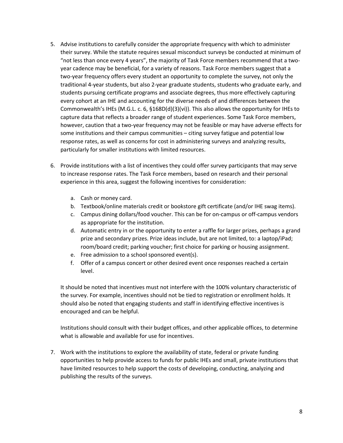- 5. Advise institutions to carefully consider the appropriate frequency with which to administer their survey. While the statute requires sexual misconduct surveys be conducted at minimum of "not less than once every 4 years", the majority of Task Force members recommend that a twoyear cadence may be beneficial, for a variety of reasons. Task Force members suggest that a two-year frequency offers every student an opportunity to complete the survey, not only the traditional 4-year students, but also 2-year graduate students, students who graduate early, and students pursuing certificate programs and associate degrees, thus more effectively capturing every cohort at an IHE and accounting for the diverse needs of and differences between the Commonwealth's IHEs (M.G.L. c. 6, §168D(d)(3)(vi)). This also allows the opportunity for IHEs to capture data that reflects a broader range of student experiences. Some Task Force members, however, caution that a two-year frequency may not be feasible or may have adverse effects for some institutions and their campus communities – citing survey fatigue and potential low response rates, as well as concerns for cost in administering surveys and analyzing results, particularly for smaller institutions with limited resources.
- 6. Provide institutions with a list of incentives they could offer survey participants that may serve to increase response rates. The Task Force members, based on research and their personal experience in this area, suggest the following incentives for consideration:
	- a. Cash or money card.
	- b. Textbook/online materials credit or bookstore gift certificate (and/or IHE swag items).
	- c. Campus dining dollars/food voucher. This can be for on-campus or off-campus vendors as appropriate for the institution.
	- d. Automatic entry in or the opportunity to enter a raffle for larger prizes, perhaps a grand prize and secondary prizes. Prize ideas include, but are not limited, to: a laptop/iPad; room/board credit; parking voucher; first choice for parking or housing assignment.
	- e. Free admission to a school sponsored event(s).
	- f. Offer of a campus concert or other desired event once responses reached a certain level.

It should be noted that incentives must not interfere with the 100% voluntary characteristic of the survey. For example, incentives should not be tied to registration or enrollment holds. It should also be noted that engaging students and staff in identifying effective incentives is encouraged and can be helpful.

Institutions should consult with their budget offices, and other applicable offices, to determine what is allowable and available for use for incentives.

7. Work with the institutions to explore the availability of state, federal or private funding opportunities to help provide access to funds for public IHEs and small, private institutions that have limited resources to help support the costs of developing, conducting, analyzing and publishing the results of the surveys.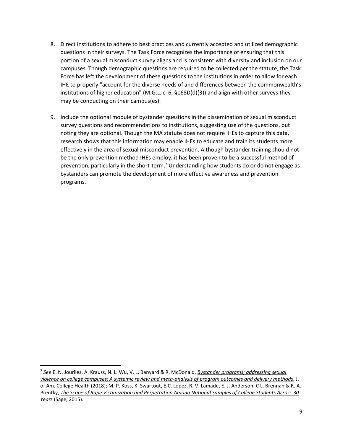- 8. Direct institutions to adhere to best practices and currently accepted and utilized demographic questions in their surveys. The Task Force recognizes the importance of ensuring that this portion of a sexual misconduct survey aligns and is consistent with diversity and inclusion on our campuses. Though demographic questions are required to be collected per the statute, the Task Force has left the development of these questions to the institutions in order to allow for each IHE to properly "account for the diverse needs of and differences between the commonwealth's institutions of higher education" (M.G.L. c. 6, §168D(d)(3)) and align with other surveys they may be conducting on their campus(es).
- 9. Include the optional module of bystander questions in the dissemination of sexual misconduct survey questions and recommendations to institutions, suggesting use of the questions, but noting they are optional. Though the MA statute does not require IHEs to capture this data, research shows that this information may enable IHEs to educate and train its students more effectively in the area of sexual misconduct prevention. Although bystander training should not be the only prevention method IHEs employ, it has been proven to be a successful method of prevention, particularly in the short-term.<sup>7</sup> Understanding how students do or do not engage as bystanders can promote the development of more effective awareness and prevention programs.

<sup>7</sup> *See* E. N. Jouriles, A. Krauss, N. L. Wu, V. L. Banyard & R. McDonald, *Bystander programs; addressing sexual violence on college campuses; A systemic review and meta-analysis of program outcomes and delivery methods*, J. of Am. College Health (2018); M. P. Koss, K. Swartout, E.C. Lopez, R. V. Lamade, E. J. Anderson, C L. Brennan & R. A. Prentky, *The Scope of Rape Victimization and Perpetration Among National Samples of College Students Across 30 Years* (Sage, 2015).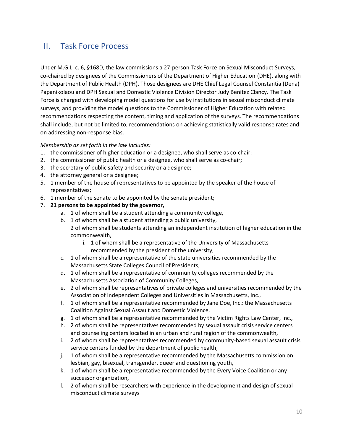## <span id="page-9-0"></span>II. Task Force Process

Under M.G.L. c. 6, §168D, the law commissions a 27-person Task Force on Sexual Misconduct Surveys, co-chaired by designees of the Commissioners of the Department of Higher Education (DHE), along with the Department of Public Health (DPH). Those designees are DHE Chief Legal Counsel Constantia (Dena) Papanikolaou and DPH Sexual and Domestic Violence Division Director Judy Benitez Clancy. The Task Force is charged with developing model questions for use by institutions in sexual misconduct climate surveys, and providing the model questions to the Commissioner of Higher Education with related recommendations respecting the content, timing and application of the surveys. The recommendations shall include, but not be limited to, recommendations on achieving statistically valid response rates and on addressing non-response bias.

## *Membership as set forth in the law includes:*

- 1. the commissioner of higher education or a designee, who shall serve as co-chair;
- 2. the commissioner of public health or a designee, who shall serve as co-chair;
- 3. the secretary of public safety and security or a designee;
- 4. the attorney general or a designee;
- 5. 1 member of the house of representatives to be appointed by the speaker of the house of representatives;
- 6. 1 member of the senate to be appointed by the senate president;
- 7. **21 persons to be appointed by the governor,** 
	- a. 1 of whom shall be a student attending a community college,
	- b. 1 of whom shall be a student attending a public university, 2 of whom shall be students attending an independent institution of higher education in the commonwealth,
		- i. 1 of whom shall be a representative of the University of Massachusetts recommended by the president of the university,
	- c. 1 of whom shall be a representative of the state universities recommended by the Massachusetts State Colleges Council of Presidents,
	- d. 1 of whom shall be a representative of community colleges recommended by the Massachusetts Association of Community Colleges,
	- e. 2 of whom shall be representatives of private colleges and universities recommended by the Association of Independent Colleges and Universities in Massachusetts, Inc.,
	- f. 1 of whom shall be a representative recommended by Jane Doe, Inc.: the Massachusetts Coalition Against Sexual Assault and Domestic Violence,
	- g. 1 of whom shall be a representative recommended by the Victim Rights Law Center, Inc.,
	- h. 2 of whom shall be representatives recommended by sexual assault crisis service centers and counseling centers located in an urban and rural region of the commonwealth,
	- i. 2 of whom shall be representatives recommended by community-based sexual assault crisis service centers funded by the department of public health,
	- j. 1 of whom shall be a representative recommended by the Massachusetts commission on lesbian, gay, bisexual, transgender, queer and questioning youth,
	- k. 1 of whom shall be a representative recommended by the Every Voice Coalition or any successor organization,
	- l. 2 of whom shall be researchers with experience in the development and design of sexual misconduct climate surveys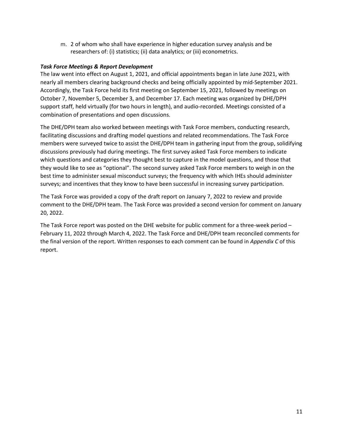m. 2 of whom who shall have experience in higher education survey analysis and be researchers of: (i) statistics; (ii) data analytics; or (iii) econometrics.

## *Task Force Meetings & Report Development*

The law went into effect on August 1, 2021, and official appointments began in late June 2021, with nearly all members clearing background checks and being officially appointed by mid-September 2021. Accordingly, the Task Force held its first meeting on September 15, 2021, followed by meetings on October 7, November 5, December 3, and December 17. Each meeting was organized by DHE/DPH support staff, held virtually (for two hours in length), and audio-recorded. Meetings consisted of a combination of presentations and open discussions.

The DHE/DPH team also worked between meetings with Task Force members, conducting research, facilitating discussions and drafting model questions and related recommendations. The Task Force members were surveyed twice to assist the DHE/DPH team in gathering input from the group, solidifying discussions previously had during meetings. The first survey asked Task Force members to indicate which questions and categories they thought best to capture in the model questions, and those that they would like to see as "optional". The second survey asked Task Force members to weigh in on the best time to administer sexual misconduct surveys; the frequency with which IHEs should administer surveys; and incentives that they know to have been successful in increasing survey participation.

The Task Force was provided a copy of the draft report on January 7, 2022 to review and provide comment to the DHE/DPH team. The Task Force was provided a second version for comment on January 20, 2022.

The Task Force report was posted on the DHE website for public comment for a three-week period – February 11, 2022 through March 4, 2022. The Task Force and DHE/DPH team reconciled comments for the final version of the report. Written responses to each comment can be found in *Appendix C* of this report.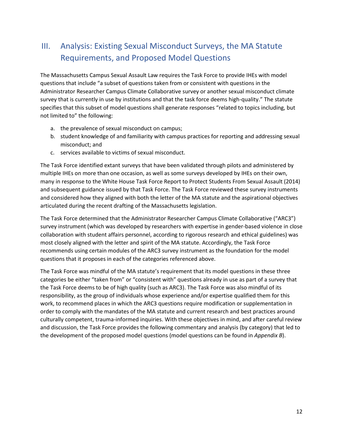# <span id="page-11-0"></span>III. Analysis: Existing Sexual Misconduct Surveys, the MA Statute Requirements, and Proposed Model Questions

The Massachusetts Campus Sexual Assault Law requires the Task Force to provide IHEs with model questions that include "a subset of questions taken from or consistent with questions in the Administrator Researcher Campus Climate Collaborative survey or another sexual misconduct climate survey that is currently in use by institutions and that the task force deems high-quality." The statute specifies that this subset of model questions shall generate responses "related to topics including, but not limited to" the following:

- a. the prevalence of sexual misconduct on campus;
- b. student knowledge of and familiarity with campus practices for reporting and addressing sexual misconduct; and
- c. services available to victims of sexual misconduct.

The Task Force identified extant surveys that have been validated through pilots and administered by multiple IHEs on more than one occasion, as well as some surveys developed by IHEs on their own, many in response to the White House Task Force Report to Protect Students From Sexual Assault (2014) and subsequent guidance issued by that Task Force. The Task Force reviewed these survey instruments and considered how they aligned with both the letter of the MA statute and the aspirational objectives articulated during the recent drafting of the Massachusetts legislation.

The Task Force determined that the Administrator Researcher Campus Climate Collaborative ("ARC3") survey instrument (which was developed by researchers with expertise in gender-based violence in close collaboration with student affairs personnel, according to rigorous research and ethical guidelines) was most closely aligned with the letter and spirit of the MA statute. Accordingly, the Task Force recommends using certain modules of the ARC3 survey instrument as the foundation for the model questions that it proposes in each of the categories referenced above.

The Task Force was mindful of the MA statute's requirement that its model questions in these three categories be either "taken from" or "consistent with" questions already in use as part of a survey that the Task Force deems to be of high quality (such as ARC3). The Task Force was also mindful of its responsibility, as the group of individuals whose experience and/or expertise qualified them for this work, to recommend places in which the ARC3 questions require modification or supplementation in order to comply with the mandates of the MA statute and current research and best practices around culturally competent, trauma-informed inquiries. With these objectives in mind, and after careful review and discussion, the Task Force provides the following commentary and analysis (by category) that led to the development of the proposed model questions (model questions can be found in *Appendix B*).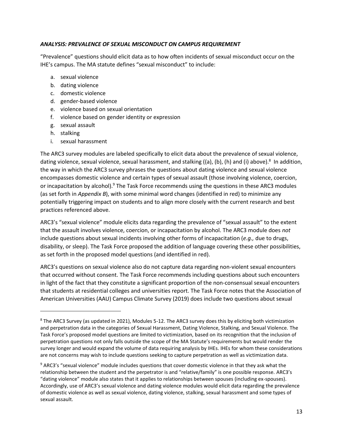## *ANALYSIS: PREVALENCE OF SEXUAL MISCONDUCT ON CAMPUS REQUIREMENT*

"Prevalence" questions should elicit data as to how often incidents of sexual misconduct occur on the IHE's campus. The MA statute defines "sexual misconduct" to include:

- a. sexual violence
- b. dating violence
- c. domestic violence
- d. gender-based violence
- e. violence based on sexual orientation
- f. violence based on gender identity or expression
- g. sexual assault
- h. stalking
- i. sexual harassment

The ARC3 survey modules are labeled specifically to elicit data about the prevalence of sexual violence, dating violence, sexual violence, sexual harassment, and stalking ((a), (b), (h) and (i) above).<sup>8</sup> In addition, the way in which the ARC3 survey phrases the questions about dating violence and sexual violence encompasses domestic violence and certain types of sexual assault (those involving violence, coercion, or incapacitation by alcohol).<sup>9</sup> The Task Force recommends using the questions in these ARC3 modules (as set forth in *Appendix B*), with some minimal word changes (identified in red) to minimize any potentially triggering impact on students and to align more closely with the current research and best practices referenced above.

ARC3's "sexual violence" module elicits data regarding the prevalence of "sexual assault" to the extent that the assault involves violence, coercion, or incapacitation by alcohol. The ARC3 module does *not*  include questions about sexual incidents involving other forms of incapacitation (*e.g.,* due to drugs, disability, or sleep). The Task Force proposed the addition of language covering these other possibilities, as set forth in the proposed model questions (and identified in red).

ARC3's questions on sexual violence also do not capture data regarding non-violent sexual encounters that occurred without consent. The Task Force recommends including questions about such encounters in light of the fact that they constitute a significant proportion of the non-consensual sexual encounters that students at residential colleges and universities report. The Task Force notes that the Association of American Universities (AAU) Campus Climate Survey (2019) does include two questions about sexual

<sup>8</sup> The ARC3 Survey (as updated in 2021), Modules 5-12. The ARC3 survey does this by eliciting both victimization and perpetration data in the categories of Sexual Harassment, Dating Violence, Stalking, and Sexual Violence. The Task Force's proposed model questions are limited to victimization, based on its recognition that the inclusion of perpetration questions not only falls outside the scope of the MA Statute's requirements but would render the survey longer and would expand the volume of data requiring analysis by IHEs. IHEs for whom these considerations are not concerns may wish to include questions seeking to capture perpetration as well as victimization data.

<sup>&</sup>lt;sup>9</sup> ARC3's "sexual violence" module includes questions that cover domestic violence in that they ask what the relationship between the student and the perpetrator is and "relative/family" is one possible response. ARC3's "dating violence" module also states that it applies to relationships between spouses (including ex-spouses). Accordingly, use of ARC3's sexual violence and dating violence modules would elicit data regarding the prevalence of domestic violence as well as sexual violence, dating violence, stalking, sexual harassment and some types of sexual assault.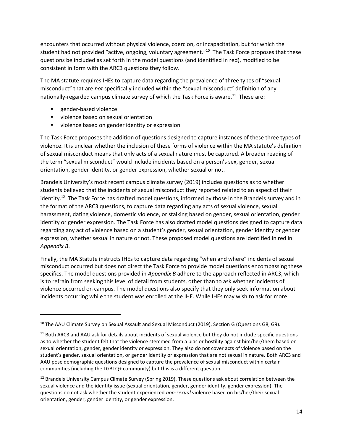encounters that occurred without physical violence, coercion, or incapacitation, but for which the student had not provided "active, ongoing, voluntary agreement."<sup>10</sup> The Task Force proposes that these questions be included as set forth in the model questions (and identified in red), modified to be consistent in form with the ARC3 questions they follow.

The MA statute requires IHEs to capture data regarding the prevalence of three types of "sexual misconduct" that are *not* specifically included within the "sexual misconduct" definition of any nationally-regarded campus climate survey of which the Task Force is aware.<sup>11</sup> These are:

- gender-based violence
- violence based on sexual orientation
- violence based on gender identity or expression

The Task Force proposes the addition of questions designed to capture instances of these three types of violence. It is unclear whether the inclusion of these forms of violence within the MA statute's definition of sexual misconduct means that only acts of a sexual nature must be captured. A broader reading of the term "sexual misconduct" would include incidents based on a person's sex, gender, sexual orientation, gender identity, or gender expression, whether sexual or not.

Brandeis University's most recent campus climate survey (2019) includes questions as to whether students believed that the incidents of sexual misconduct they reported related to an aspect of their identity.<sup>12</sup> The Task Force has drafted model questions, informed by those in the Brandeis survey and in the format of the ARC3 questions, to capture data regarding any acts of sexual violence, sexual harassment, dating violence, domestic violence, or stalking based on gender, sexual orientation, gender identity or gender expression. The Task Force has also drafted model questions designed to capture data regarding any act of violence based on a student's gender, sexual orientation, gender identity or gender expression, whether sexual in nature or not. These proposed model questions are identified in red in *Appendix B*.

Finally, the MA Statute instructs IHEs to capture data regarding "when and where" incidents of sexual misconduct occurred but does not direct the Task Force to provide model questions encompassing these specifics. The model questions provided in *Appendix B* adhere to the approach reflected in ARC3, which is to refrain from seeking this level of detail from students, other than to ask whether incidents of violence occurred on campus. The model questions also specify that they only seek information about incidents occurring while the student was enrolled at the IHE. While IHEs may wish to ask for more

<sup>&</sup>lt;sup>10</sup> The AAU Climate Survey on Sexual Assault and Sexual Misconduct (2019), Section G (Questions G8, G9).

<sup>&</sup>lt;sup>11</sup> Both ARC3 and AAU ask for details about incidents of sexual violence but they do not include specific questions as to whether the student felt that the violence stemmed from a bias or hostility against him/her/them based on sexual orientation, gender, gender identity or expression. They also do not cover acts of violence based on the student's gender, sexual orientation, or gender identity or expression that are not sexual in nature. Both ARC3 and AAU pose demographic questions designed to capture the prevalence of sexual misconduct within certain communities (including the LGBTQ+ community) but this is a different question.

<sup>&</sup>lt;sup>12</sup> Brandeis University Campus Climate Survey (Spring 2019). These questions ask about correlation between the sexual violence and the identity issue (sexual orientation, gender, gender identity, gender expression). The questions do not ask whether the student experienced *non-sexual* violence based on his/her/their sexual orientation, gender, gender identity, or gender expression.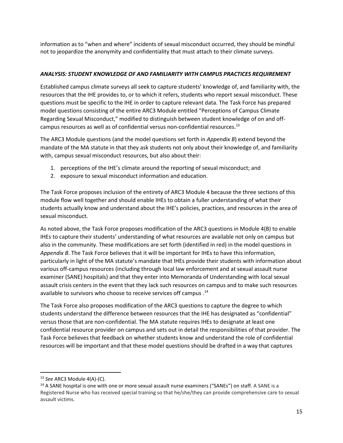information as to "when and where" incidents of sexual misconduct occurred, they should be mindful not to jeopardize the anonymity and confidentiality that must attach to their climate surveys.

## *ANALYSIS: STUDENT KNOWLEDGE OF AND FAMILIARITY WITH CAMPUS PRACTICES REQUIREMENT*

Established campus climate surveys all seek to capture students' knowledge of, and familiarity with, the resources that the IHE provides to, or to which it refers, students who report sexual misconduct. These questions must be specific to the IHE in order to capture relevant data. The Task Force has prepared model questions consisting of the entire ARC3 Module entitled "Perceptions of Campus Climate Regarding Sexual Misconduct," modified to distinguish between student knowledge of on and offcampus resources as well as of confidential versus non-confidential resources.<sup>13</sup>

The ARC3 Module questions (and the model questions set forth in *Appendix B*) extend beyond the mandate of the MA statute in that they ask students not only about their knowledge of, and familiarity with, campus sexual misconduct resources, but also about their:

- 1. perceptions of the IHE's climate around the reporting of sexual misconduct; and
- 2. exposure to sexual misconduct information and education.

The Task Force proposes inclusion of the entirety of ARC3 Module 4 because the three sections of this module flow well together and should enable IHEs to obtain a fuller understanding of what their students actually know and understand about the IHE's policies, practices, and resources in the area of sexual misconduct.

As noted above, the Task Force proposes modification of the ARC3 questions in Module 4(B) to enable IHEs to capture their students' understanding of what resources are available not only on campus but also in the community. These modifications are set forth (identified in red) in the model questions in *Appendix B*. The Task Force believes that it will be important for IHEs to have this information, particularly in light of the MA statute's mandate that IHEs provide their students with information about various off-campus resources (including through local law enforcement and at sexual assault nurse examiner (SANE) hospitals) and that they enter into Memoranda of Understanding with local sexual assault crisis centers in the event that they lack such resources on campus and to make such resources available to survivors who choose to receive services off campus .<sup>14</sup>

The Task Force also proposes modification of the ARC3 questions to capture the degree to which students understand the difference between resources that the IHE has designated as "confidential" versus those that are non-confidential. The MA statute requires IHEs to designate at least one confidential resource provider on campus and sets out in detail the responsibilities of that provider. The Task Force believes that feedback on whether students know and understand the role of confidential resources will be important and that these model questions should be drafted in a way that captures

<sup>13</sup> *See* ARC3 Module 4(A)-(C).

<sup>&</sup>lt;sup>14</sup> A SANE hospital is one with one or more sexual assault nurse examiners ("SANEs") on staff. A SANE is a Registered Nurse who has received special training so that he/she/they can provide comprehensive care to sexual assault victims.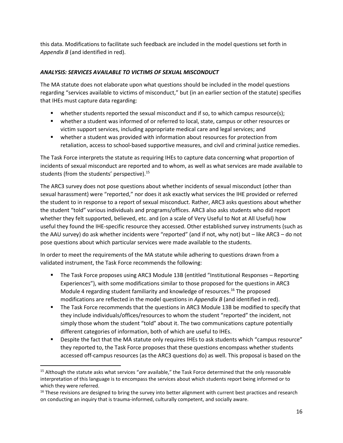this data. Modifications to facilitate such feedback are included in the model questions set forth in *Appendix B* (and identified in red).

## *ANALYSIS: SERVICES AVAILABLE TO VICTIMS OF SEXUAL MISCONDUCT*

The MA statute does not elaborate upon what questions should be included in the model questions regarding "services available to victims of misconduct," but (in an earlier section of the statute) specifies that IHEs must capture data regarding:

- whether students reported the sexual misconduct and if so, to which campus resource(s);
- whether a student was informed of or referred to local, state, campus or other resources or victim support services, including appropriate medical care and legal services; and
- whether a student was provided with information about resources for protection from retaliation, access to school-based supportive measures, and civil and criminal justice remedies.

The Task Force interprets the statute as requiring IHEs to capture data concerning what proportion of incidents of sexual misconduct are reported and to whom, as well as what services are made available to students (from the students' perspective).<sup>15</sup>

The ARC3 survey does not pose questions about whether incidents of sexual misconduct (other than sexual harassment) were "reported," nor does it ask exactly what services the IHE provided or referred the student to in response to a report of sexual misconduct. Rather, ARC3 asks questions about whether the student "told" various individuals and programs/offices. ARC3 also asks students who did report whether they felt supported, believed, etc. and (on a scale of Very Useful to Not at All Useful) how useful they found the IHE-specific resource they accessed. Other established survey instruments (such as the AAU survey) do ask whether incidents were "reported" (and if not, why not) but – like ARC3 – do not pose questions about which particular services were made available to the students.

In order to meet the requirements of the MA statute while adhering to questions drawn from a validated instrument, the Task Force recommends the following:

- The Task Force proposes using ARC3 Module 13B (entitled "Institutional Responses Reporting Experiences"), with some modifications similar to those proposed for the questions in ARC3 Module 4 regarding student familiarity and knowledge of resources.<sup>16</sup> The proposed modifications are reflected in the model questions in *Appendix B* (and identified in red).
- The Task Force recommends that the questions in ARC3 Module 13B be modified to specify that they include individuals/offices/resources to whom the student "reported" the incident, not simply those whom the student "told" about it. The two communications capture potentially different categories of information, both of which are useful to IHEs.
- Despite the fact that the MA statute only requires IHEs to ask students which "campus resource" they reported to, the Task Force proposes that these questions encompass whether students accessed off-campus resources (as the ARC3 questions do) as well. This proposal is based on the

<sup>15</sup> Although the statute asks what services "*are* available," the Task Force determined that the only reasonable interpretation of this language is to encompass the services about which students report being informed or to which they were referred.

 $16$  These revisions are designed to bring the survey into better alignment with current best practices and research on conducting an inquiry that is trauma-informed, culturally competent, and socially aware.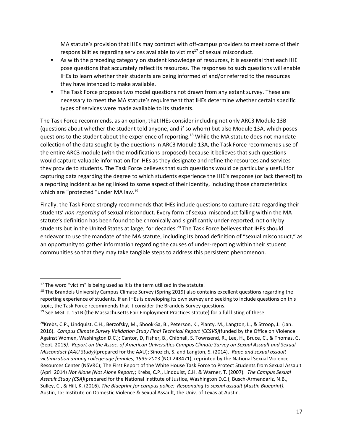MA statute's provision that IHEs may contract with off-campus providers to meet some of their responsibilities regarding services available to victims $^{17}$  of sexual misconduct.

- As with the preceding category on student knowledge of resources, it is essential that each IHE pose questions that accurately reflect its resources. The responses to such questions will enable IHEs to learn whether their students are being informed of and/or referred to the resources they have intended to make available.
- The Task Force proposes two model questions not drawn from any extant survey. These are necessary to meet the MA statute's requirement that IHEs determine whether certain specific types of services were made available to its students.

The Task Force recommends, as an option, that IHEs consider including not only ARC3 Module 13B (questions about whether the student told anyone, and if so whom) but also Module 13A, which poses questions to the student about the experience of reporting.<sup>18</sup> While the MA statute does not mandate collection of the data sought by the questions in ARC3 Module 13A, the Task Force recommends use of the entire ARC3 module (with the modifications proposed) because it believes that such questions would capture valuable information for IHEs as they designate and refine the resources and services they provide to students. The Task Force believes that such questions would be particularly useful for capturing data regarding the degree to which students experience the IHE's response (or lack thereof) to a reporting incident as being linked to some aspect of their identity, including those characteristics which are "protected "under MA law.<sup>19</sup>

Finally, the Task Force strongly recommends that IHEs include questions to capture data regarding their students' *non-reporting* of sexual misconduct. Every form of sexual misconduct falling within the MA statute's definition has been found to be chronically and significantly under-reported, not only by students but in the United States at large, for decades.<sup>20</sup> The Task Force believes that IHEs should endeavor to use the mandate of the MA statute, including its broad definition of "sexual misconduct," as an opportunity to gather information regarding the causes of under-reporting within their student communities so that they may take tangible steps to address this persistent phenomenon.

 $19$  See MGL c. 151B (the Massachusetts Fair Employment Practices statute) for a full listing of these.

 $17$  The word "victim" is being used as it is the term utilized in the statute.

<sup>&</sup>lt;sup>18</sup> The Brandeis University Campus Climate Survey (Spring 2019) also contains excellent questions regarding the reporting experience of students. If an IHEs is developing its own survey and seeking to include questions on this topic, the Task Force recommends that it consider the Brandeis Survey questions.

<sup>&</sup>lt;sup>20</sup>Krebs, C.P., Lindquist, C.H., Berzofsky, M., Shook-Sa, B., Peterson, K., Planty, M., Langton, L., & Stroop, J. (Jan. 2016). *Campus Climate Survey Validation Study Final Technical Report (CCSVS)*(funded by the Office on Violence Against Women, Washington D.C.); Cantor, D, Fisher, B., Chibnall, S. Townsend, R., Lee, H., Bruce, C., & Thomas, G. (Sept. 2015*). Report on the Assoc. of American Universities Campus Climate Survey on Sexual Assault and Sexual Misconduct (AAU Study)*(prepared for the AAU); Sinozich, S. and Langton, S. (2014). *Rape and sexual assault victimization among college-age females, 1995-2013* (NCJ 248471), reprinted by the National Sexual Violence Resources Center (NSVRC); The First Report of the White House Task Force to Protect Students from Sexual Assault (April 2014) *Not Alone (Not Alone Report)*; Krebs, C.P., Lindquist, C.H. & Warner, T. (2007). *The Campus Sexual Assault Study (CSA)*(prepared for the National Institute of Justice, Washington D.C.); Busch-Armendariz, N.B., Sulley, C., & Hill, K. (2016). *The Blueprint for campus police: Responding to sexual assault (Austin Blueprint).* Austin, Tx: Institute on Domestic Violence & Sexual Assault, the Univ. of Texas at Austin.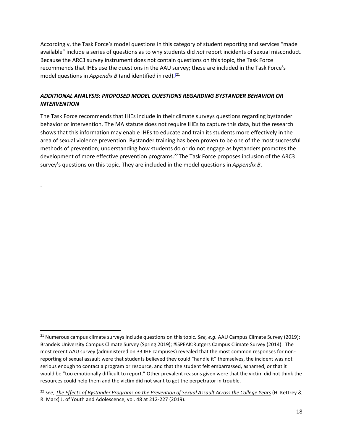Accordingly, the Task Force's model questions in this category of student reporting and services "made available" include a series of questions as to why students did *not* report incidents of sexual misconduct. Because the ARC3 survey instrument does not contain questions on this topic, the Task Force recommends that IHEs use the questions in the AAU survey; these are included in the Task Force's model questions in *Appendix B* (and identified in red).<sup>[\[2](https://gbc-word-edit.officeapps.live.com/we/wordeditorframe.aspx?ui=en%2DUS&rs=en%2DUS&wopisrc=https%3A%2F%2Fmassgov.sharepoint.com%2Fsites%2Frgt-shared%2F_vti_bin%2Fwopi.ashx%2Ffiles%2Ff9a16fd542494952849052f1ce127c95&wdenableroaming=1&mscc=1&hid=452D13A0-50D7-C000-A4A9-B7E493266BA4&wdorigin=ItemsView&wdhostclicktime=1641225359227&jsapi=1&jsapiver=v1&newsession=1&corrid=5558d2b3-1d8f-e630-3acc-1d12a3ab6df8&usid=5558d2b3-1d8f-e630-3acc-1d12a3ab6df8&sftc=1&mtf=1&sfp=1&instantedit=1&wopicomplete=1&wdredirectionreason=Unified_SingleFlush&preseededsessionkey=e53dc336-11b0-5ddf-5c9a-74b085da18ee&preseededwacsessionid=5558d2b3-1d8f-e630-3acc-1d12a3ab6df8&rct=Medium&ctp=LeastProtected#_ftn1)1</sup>

## *ADDITIONAL ANALYSIS: PROPOSED MODEL QUESTIONS REGARDING BYSTANDER BEHAVIOR OR INTERVENTION*

.

The Task Force recommends that IHEs include in their climate surveys questions regarding bystander behavior or intervention. The MA statute does not require IHEs to capture this data, but the research shows that this information may enable IHEs to educate and train its students more effectively in the area of sexual violence prevention. Bystander training has been proven to be one of the most successful methods of prevention; understanding how students do or do not engage as bystanders promotes the development of more effective prevention programs.<sup>22</sup> The Task Force proposes inclusion of the ARC3 survey's questions on this topic. They are included in the model questions in *Appendix B*.

<sup>&</sup>lt;sup>21</sup> Numerous campus climate surveys include questions on this topic. *See, e.g.* AAU Campus Climate Survey (2019); Brandeis University Campus Climate Survey (Spring 2019); #iSPEAK:Rutgers Campus Climate Survey (2014). The most recent AAU survey (administered on 33 IHE campuses) revealed that the most common responses for nonreporting of sexual assault were that students believed they could "handle it" themselves, the incident was not serious enough to contact a program or resource, and that the student felt embarrassed, ashamed, or that it would be "too emotionally difficult to report." Other prevalent reasons given were that the victim did not think the resources could help them and the victim did not want to get the perpetrator in trouble.

<sup>22</sup> *See*, *The Effects of Bystander Programs on the Prevention of Sexual Assault Across the College Years* (H. Kettrey & R. Marx) J. of Youth and Adolescence, vol. 48 at 212-227 (2019).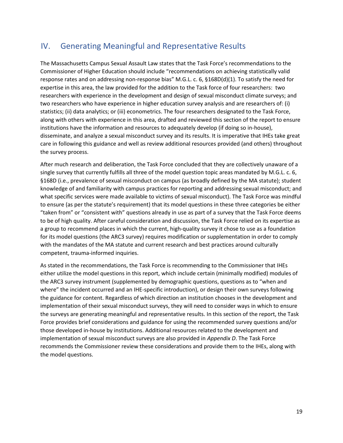## <span id="page-18-0"></span>IV. Generating Meaningful and Representative Results

The Massachusetts Campus Sexual Assault Law states that the Task Force's recommendations to the Commissioner of Higher Education should include "recommendations on achieving statistically valid response rates and on addressing non-response bias" M.G.L. c. 6, §168D(d)(1). To satisfy the need for expertise in this area, the law provided for the addition to the Task force of four researchers: two researchers with experience in the development and design of sexual misconduct climate surveys; and two researchers who have experience in higher education survey analysis and are researchers of: (i) statistics; (ii) data analytics; or (iii) econometrics. The four researchers designated to the Task Force, along with others with experience in this area, drafted and reviewed this section of the report to ensure institutions have the information and resources to adequately develop (if doing so in-house), disseminate, and analyze a sexual misconduct survey and its results. It is imperative that IHEs take great care in following this guidance and well as review additional resources provided (and others) throughout the survey process.

After much research and deliberation, the Task Force concluded that they are collectively unaware of a single survey that currently fulfills all three of the model question topic areas mandated by M.G.L. c. 6, §168D (i.e., prevalence of sexual misconduct on campus (as broadly defined by the MA statute); student knowledge of and familiarity with campus practices for reporting and addressing sexual misconduct; and what specific services were made available to victims of sexual misconduct). The Task Force was mindful to ensure (as per the statute's requirement) that its model questions in these three categories be either "taken from" or "consistent with" questions already in use as part of a survey that the Task Force deems to be of high quality. After careful consideration and discussion, the Task Force relied on its expertise as a group to recommend places in which the current, high-quality survey it chose to use as a foundation for its model questions (the ARC3 survey) requires modification or supplementation in order to comply with the mandates of the MA statute and current research and best practices around culturally competent, trauma-informed inquiries.

As stated in the recommendations, the Task Force is recommending to the Commissioner that IHEs either utilize the model questions in this report, which include certain (minimally modified) modules of the ARC3 survey instrument (supplemented by demographic questions, questions as to "when and where" the incident occurred and an IHE-specific introduction), or design their own surveys following the guidance for content. Regardless of which direction an institution chooses in the development and implementation of their sexual misconduct surveys, they will need to consider ways in which to ensure the surveys are generating meaningful and representative results. In this section of the report, the Task Force provides brief considerations and guidance for using the recommended survey questions and/or those developed in-house by institutions. Additional resources related to the development and implementation of sexual misconduct surveys are also provided in *Appendix D*. The Task Force recommends the Commissioner review these considerations and provide them to the IHEs, along with the model questions.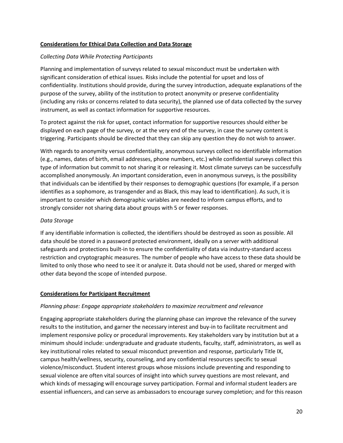## **Considerations for Ethical Data Collection and Data Storage**

## *Collecting Data While Protecting Participants*

Planning and implementation of surveys related to sexual misconduct must be undertaken with significant consideration of ethical issues. Risks include the potential for upset and loss of confidentiality. Institutions should provide, during the survey introduction, adequate explanations of the purpose of the survey, ability of the institution to protect anonymity or preserve confidentiality (including any risks or concerns related to data security), the planned use of data collected by the survey instrument, as well as contact information for supportive resources.

To protect against the risk for upset, contact information for supportive resources should either be displayed on each page of the survey, or at the very end of the survey, in case the survey content is triggering. Participants should be directed that they can skip any question they do not wish to answer.

With regards to anonymity versus confidentiality, anonymous surveys collect no identifiable information (e.g., names, dates of birth, email addresses, phone numbers, etc.) while confidential surveys collect this type of information but commit to not sharing it or releasing it. Most climate surveys can be successfully accomplished anonymously. An important consideration, even in anonymous surveys, is the possibility that individuals can be identified by their responses to demographic questions (for example, if a person identifies as a sophomore, as transgender and as Black, this may lead to identification). As such, it is important to consider which demographic variables are needed to inform campus efforts, and to strongly consider not sharing data about groups with 5 or fewer responses.

## *Data Storage*

If any identifiable information is collected, the identifiers should be destroyed as soon as possible. All data should be stored in a password protected environment, ideally on a server with additional safeguards and protections built-in to ensure the confidentiality of data via industry-standard access restriction and cryptographic measures. The number of people who have access to these data should be limited to only those who need to see it or analyze it. Data should not be used, shared or merged with other data beyond the scope of intended purpose.

## **Considerations for Participant Recruitment**

## *Planning phase: Engage appropriate stakeholders to maximize recruitment and relevance*

Engaging appropriate stakeholders during the planning phase can improve the relevance of the survey results to the institution, and garner the necessary interest and buy-in to facilitate recruitment and implement responsive policy or procedural improvements. Key stakeholders vary by institution but at a minimum should include: undergraduate and graduate students, faculty, staff, administrators, as well as key institutional roles related to sexual misconduct prevention and response, particularly Title IX, campus health/wellness, security, counseling, and any confidential resources specific to sexual violence/misconduct. Student interest groups whose missions include preventing and responding to sexual violence are often vital sources of insight into which survey questions are most relevant, and which kinds of messaging will encourage survey participation. Formal and informal student leaders are essential influencers, and can serve as ambassadors to encourage survey completion; and for this reason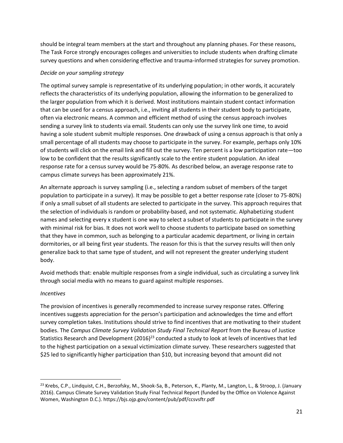should be integral team members at the start and throughout any planning phases. For these reasons, The Task Force strongly encourages colleges and universities to include students when drafting climate survey questions and when considering effective and trauma-informed strategies for survey promotion.

## *Decide on your sampling strategy*

The optimal survey sample is representative of its underlying population; in other words, it accurately reflects the characteristics of its underlying population, allowing the information to be generalized to the larger population from which it is derived. Most institutions maintain student contact information that can be used for a census approach, i.e., inviting all students in their student body to participate, often via electronic means. A common and efficient method of using the census approach involves sending a survey link to students via email. Students can only use the survey link one time, to avoid having a sole student submit multiple responses. One drawback of using a census approach is that only a small percentage of all students may choose to participate in the survey. For example, perhaps only 10% of students will click on the email link and fill out the survey. Ten percent is a low participation rate—too low to be confident that the results significantly scale to the entire student population. An ideal response rate for a census survey would be 75-80%. As described below, an average response rate to campus climate surveys has been approximately 21%.

An alternate approach is survey sampling (i.e., selecting a random subset of members of the target population to participate in a survey). It may be possible to get a better response rate (closer to 75-80%) if only a small subset of all students are selected to participate in the survey. This approach requires that the selection of individuals is random or probability-based, and not systematic. Alphabetizing student names and selecting every x student is one way to select a subset of students to participate in the survey with minimal risk for bias. It does not work well to choose students to participate based on something that they have in common, such as belonging to a particular academic department, or living in certain dormitories, or all being first year students. The reason for this is that the survey results will then only generalize back to that same type of student, and will not represent the greater underlying student body.

Avoid methods that: enable multiple responses from a single individual, such as circulating a survey link through social media with no means to guard against multiple responses.

## *Incentives*

The provision of incentives is generally recommended to increase survey response rates. Offering incentives suggests appreciation for the person's participation and acknowledges the time and effort survey completion takes. Institutions should strive to find incentives that are motivating to their student bodies. The *Campus Climate Survey Validation Study Final Technical Report* from the Bureau of Justice Statistics Research and Development (2016)<sup>23</sup> conducted a study to look at levels of incentives that led to the highest participation on a sexual victimization climate survey. These researchers suggested that \$25 led to significantly higher participation than \$10, but increasing beyond that amount did not

<sup>&</sup>lt;sup>23</sup> Krebs, C.P., Lindquist, C.H., Berzofsky, M., Shook-Sa, B., Peterson, K., Planty, M., Langton, L., & Stroop, J. (January 2016). Campus Climate Survey Validation Study Final Technical Report (funded by the Office on Violence Against Women, Washington D.C.). https://bjs.ojp.gov/content/pub/pdf/ccsvsftr.pdf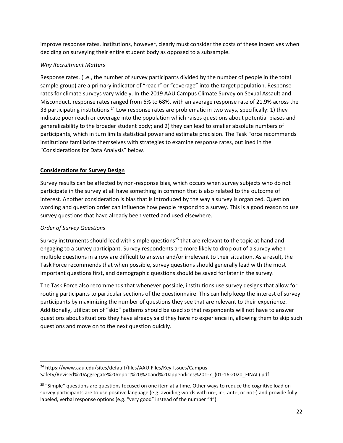improve response rates. Institutions, however, clearly must consider the costs of these incentives when deciding on surveying their entire student body as opposed to a subsample.

## *Why Recruitment Matters*

Response rates, (i.e., the number of survey participants divided by the number of people in the total sample group) are a primary indicator of "reach" or "coverage" into the target population. Response rates for climate surveys vary widely. In the 2019 AAU Campus Climate Survey on Sexual Assault and Misconduct, response rates ranged from 6% to 68%, with an average response rate of 21.9% across the 33 participating institutions.<sup>24</sup> Low response rates are problematic in two ways, specifically: 1) they indicate poor reach or coverage into the population which raises questions about potential biases and generalizability to the broader student body; and 2) they can lead to smaller absolute numbers of participants, which in turn limits statistical power and estimate precision. The Task Force recommends institutions familiarize themselves with strategies to examine response rates, outlined in the "Considerations for Data Analysis" below.

## **Considerations for Survey Design**

Survey results can be affected by non-response bias, which occurs when survey subjects who do not participate in the survey at all have something in common that is also related to the outcome of interest. Another consideration is bias that is introduced by the way a survey is organized. Question wording and question order can influence how people respond to a survey. This is a good reason to use survey questions that have already been vetted and used elsewhere.

## *Order of Survey Questions*

Survey instruments should lead with simple questions<sup>25</sup> that are relevant to the topic at hand and engaging to a survey participant. Survey respondents are more likely to drop out of a survey when multiple questions in a row are difficult to answer and/or irrelevant to their situation. As a result, the Task Force recommends that when possible, survey questions should generally lead with the most important questions first, and demographic questions should be saved for later in the survey.

The Task Force also recommends that whenever possible, institutions use survey designs that allow for routing participants to particular sections of the questionnaire. This can help keep the interest of survey participants by maximizing the number of questions they see that are relevant to their experience. Additionally, utilization of "skip" patterns should be used so that respondents will not have to answer questions about situations they have already said they have no experience in, allowing them to skip such questions and move on to the next question quickly.

<sup>24</sup> https://www.aau.edu/sites/default/files/AAU-Files/Key-Issues/Campus-Safety/Revised%20Aggregate%20report%20%20and%20appendices%201-7\_(01-16-2020\_FINAL).pdf

<sup>&</sup>lt;sup>25</sup> "Simple" questions are questions focused on one item at a time. Other ways to reduce the cognitive load on survey participants are to use positive language (e.g. avoiding words with un-, in-, anti-, or not-) and provide fully labeled, verbal response options (e.g. "very good" instead of the number "4").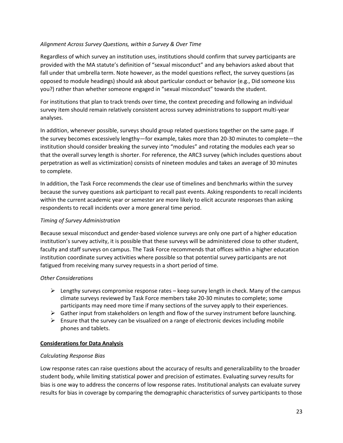## *Alignment Across Survey Questions, within a Survey & Over Time*

Regardless of which survey an institution uses, institutions should confirm that survey participants are provided with the MA statute's definition of "sexual misconduct" and any behaviors asked about that fall under that umbrella term. Note however, as the model questions reflect, the survey questions (as opposed to module headings) should ask about particular conduct or behavior (e.g., Did someone kiss you?) rather than whether someone engaged in "sexual misconduct" towards the student.

For institutions that plan to track trends over time, the context preceding and following an individual survey item should remain relatively consistent across survey administrations to support multi-year analyses.

In addition, whenever possible, surveys should group related questions together on the same page. If the survey becomes excessively lengthy—for example, takes more than 20-30 minutes to complete—the institution should consider breaking the survey into "modules" and rotating the modules each year so that the overall survey length is shorter. For reference, the ARC3 survey (which includes questions about perpetration as well as victimization) consists of nineteen modules and takes an average of 30 minutes to complete.

In addition, the Task Force recommends the clear use of timelines and benchmarks within the survey because the survey questions ask participant to recall past events. Asking respondents to recall incidents within the current academic year or semester are more likely to elicit accurate responses than asking respondents to recall incidents over a more general time period.

## *Timing of Survey Administration*

Because sexual misconduct and gender-based violence surveys are only one part of a higher education institution's survey activity, it is possible that these surveys will be administered close to other student, faculty and staff surveys on campus. The Task Force recommends that offices within a higher education institution coordinate survey activities where possible so that potential survey participants are not fatigued from receiving many survey requests in a short period of time.

## *Other Considerations*

- $\triangleright$  Lengthy surveys compromise response rates keep survey length in check. Many of the campus climate surveys reviewed by Task Force members take 20-30 minutes to complete; some participants may need more time if many sections of the survey apply to their experiences.
- $\triangleright$  Gather input from stakeholders on length and flow of the survey instrument before launching.
- $\triangleright$  Ensure that the survey can be visualized on a range of electronic devices including mobile phones and tablets.

## **Considerations for Data Analysis**

## *Calculating Response Bias*

Low response rates can raise questions about the accuracy of results and generalizability to the broader student body, while limiting statistical power and precision of estimates. Evaluating survey results for bias is one way to address the concerns of low response rates. Institutional analysts can evaluate survey results for bias in coverage by comparing the demographic characteristics of survey participants to those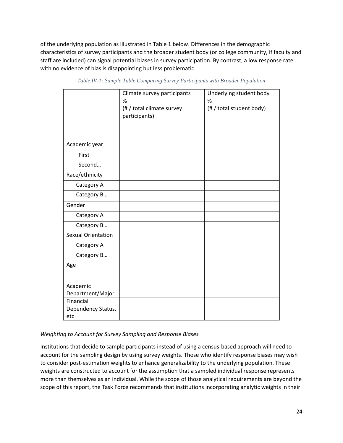of the underlying population as illustrated in Table 1 below. Differences in the demographic characteristics of survey participants and the broader student body (or college community, if faculty and staff are included) can signal potential biases in survey participation. By contrast, a low response rate with no evidence of bias is disappointing but less problematic.

|                                 | Climate survey participants<br>%<br>(# / total climate survey<br>participants) | Underlying student body<br>%<br>(# / total student body) |
|---------------------------------|--------------------------------------------------------------------------------|----------------------------------------------------------|
| Academic year                   |                                                                                |                                                          |
| First                           |                                                                                |                                                          |
| Second                          |                                                                                |                                                          |
| Race/ethnicity                  |                                                                                |                                                          |
| Category A                      |                                                                                |                                                          |
| Category B                      |                                                                                |                                                          |
| Gender                          |                                                                                |                                                          |
| Category A                      |                                                                                |                                                          |
| Category B                      |                                                                                |                                                          |
| <b>Sexual Orientation</b>       |                                                                                |                                                          |
| Category A                      |                                                                                |                                                          |
| Category B                      |                                                                                |                                                          |
| Age                             |                                                                                |                                                          |
| Academic                        |                                                                                |                                                          |
| Department/Major                |                                                                                |                                                          |
| Financial<br>Dependency Status, |                                                                                |                                                          |
| etc                             |                                                                                |                                                          |

*Table IV-1: Sample Table Comparing Survey Participants with Broader Population*

## *Weighting to Account for Survey Sampling and Response Biases*

Institutions that decide to sample participants instead of using a census-based approach will need to account for the sampling design by using survey weights. Those who identify response biases may wish to consider post-estimation weights to enhance generalizability to the underlying population. These weights are constructed to account for the assumption that a sampled individual response represents more than themselves as an individual. While the scope of those analytical requirements are beyond the scope of this report, the Task Force recommends that institutions incorporating analytic weights in their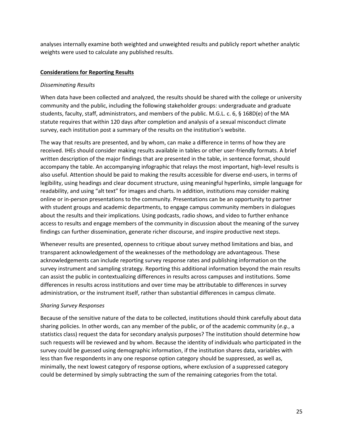analyses internally examine both weighted and unweighted results and publicly report whether analytic weights were used to calculate any published results.

## **Considerations for Reporting Results**

## *Disseminating Results*

When data have been collected and analyzed, the results should be shared with the college or university community and the public, including the following stakeholder groups: undergraduate and graduate students, faculty, staff, administrators, and members of the public. M.G.L. c. 6, § 168D(e) of the MA statute requires that within 120 days after completion and analysis of a sexual misconduct climate survey, each institution post a summary of the results on the institution's website.

The way that results are presented, and by whom, can make a difference in terms of how they are received. IHEs should consider making results available in tables or other user-friendly formats. A brief written description of the major findings that are presented in the table, in sentence format, should accompany the table. An accompanying infographic that relays the most important, high-level results is also useful. Attention should be paid to making the results accessible for diverse end-users, in terms of legibility, using headings and clear document structure, using meaningful hyperlinks, simple language for readability, and using "alt text" for images and charts. In addition, institutions may consider making online or in-person presentations to the community. Presentations can be an opportunity to partner with student groups and academic departments, to engage campus community members in dialogues about the results and their implications. Using podcasts, radio shows, and video to further enhance access to results and engage members of the community in discussion about the meaning of the survey findings can further dissemination, generate richer discourse, and inspire productive next steps.

Whenever results are presented, openness to critique about survey method limitations and bias, and transparent acknowledgement of the weaknesses of the methodology are advantageous. These acknowledgements can include reporting survey response rates and publishing information on the survey instrument and sampling strategy. Reporting this additional information beyond the main results can assist the public in contextualizing differences in results across campuses and institutions. Some differences in results across institutions and over time may be attributable to differences in survey administration, or the instrument itself, rather than substantial differences in campus climate.

## *Sharing Survey Responses*

Because of the sensitive nature of the data to be collected, institutions should think carefully about data sharing policies. In other words, can any member of the public, or of the academic community (*e.g.*, a statistics class) request the data for secondary analysis purposes? The institution should determine how such requests will be reviewed and by whom. Because the identity of individuals who participated in the survey could be guessed using demographic information, if the institution shares data, variables with less than five respondents in any one response option category should be suppressed, as well as, minimally, the next lowest category of response options, where exclusion of a suppressed category could be determined by simply subtracting the sum of the remaining categories from the total.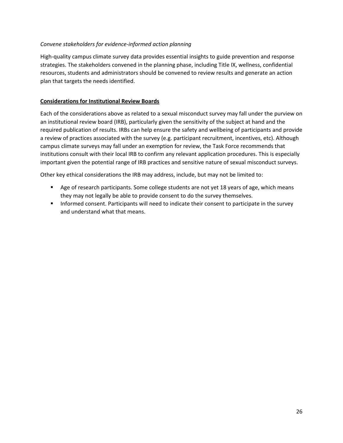## *Convene stakeholders for evidence-informed action planning*

High-quality campus climate survey data provides essential insights to guide prevention and response strategies. The stakeholders convened in the planning phase, including Title IX, wellness, confidential resources, students and administrators should be convened to review results and generate an action plan that targets the needs identified.

## **Considerations for Institutional Review Boards**

Each of the considerations above as related to a sexual misconduct survey may fall under the purview on an institutional review board (IRB), particularly given the sensitivity of the subject at hand and the required publication of results. IRBs can help ensure the safety and wellbeing of participants and provide a review of practices associated with the survey (e.g. participant recruitment, incentives, etc). Although campus climate surveys may fall under an exemption for review, the Task Force recommends that institutions consult with their local IRB to confirm any relevant application procedures. This is especially important given the potential range of IRB practices and sensitive nature of sexual misconduct surveys.

Other key ethical considerations the IRB may address, include, but may not be limited to:

- Age of research participants. Some college students are not yet 18 years of age, which means they may not legally be able to provide consent to do the survey themselves.
- **EXECT** Informed consent. Participants will need to indicate their consent to participate in the survey and understand what that means.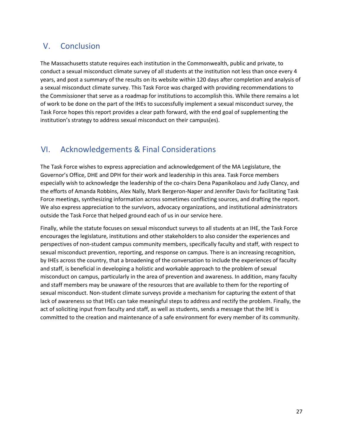## <span id="page-26-0"></span>V. Conclusion

The Massachusetts statute requires each institution in the Commonwealth, public and private, to conduct a sexual misconduct climate survey of all students at the institution not less than once every 4 years, and post a summary of the results on its website within 120 days after completion and analysis of a sexual misconduct climate survey. This Task Force was charged with providing recommendations to the Commissioner that serve as a roadmap for institutions to accomplish this. While there remains a lot of work to be done on the part of the IHEs to successfully implement a sexual misconduct survey, the Task Force hopes this report provides a clear path forward, with the end goal of supplementing the institution's strategy to address sexual misconduct on their campus(es).

## <span id="page-26-1"></span>VI. Acknowledgements & Final Considerations

The Task Force wishes to express appreciation and acknowledgement of the MA Legislature, the Governor's Office, DHE and DPH for their work and leadership in this area. Task Force members especially wish to acknowledge the leadership of the co-chairs Dena Papanikolaou and Judy Clancy, and the efforts of Amanda Robbins, Alex Nally, Mark Bergeron-Naper and Jennifer Davis for facilitating Task Force meetings, synthesizing information across sometimes conflicting sources, and drafting the report. We also express appreciation to the survivors, advocacy organizations, and institutional administrators outside the Task Force that helped ground each of us in our service here.

Finally, while the statute focuses on sexual misconduct surveys to all students at an IHE, the Task Force encourages the legislature, institutions and other stakeholders to also consider the experiences and perspectives of non-student campus community members, specifically faculty and staff, with respect to sexual misconduct prevention, reporting, and response on campus. There is an increasing recognition, by IHEs across the country, that a broadening of the conversation to include the experiences of faculty and staff, is beneficial in developing a holistic and workable approach to the problem of sexual misconduct on campus, particularly in the area of prevention and awareness. In addition, many faculty and staff members may be unaware of the resources that are available to them for the reporting of sexual misconduct. Non-student climate surveys provide a mechanism for capturing the extent of that lack of awareness so that IHEs can take meaningful steps to address and rectify the problem. Finally, the act of soliciting input from faculty and staff, as well as students, sends a message that the IHE is committed to the creation and maintenance of a safe environment for every member of its community.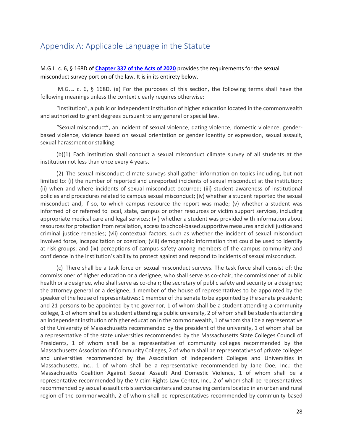## <span id="page-27-0"></span>Appendix A: Applicable Language in the Statute

## M.G.L. c. 6, § 168D of **[Chapter 337 of the Acts of 2020](https://malegislature.gov/Laws/SessionLaws/Acts/2020/Chapter337#:~:text=AN%20ACT%20PROVIDING%20FOR%20VIRTUAL,CHALLENGES%20RELATED%20TO%20COVID%2D19.&text=AN%20ACT%20CREATING%20A%20NEXT%2DGENERATION%20ROADMAP%20FOR%20MASSACHUSETTS%20CLIMATE%20POLICY.&text=AN%20ACT%20RELATIVE%20TO%20JUSTICE,LAW%20ENFORCEMENT%20IN%20THE%20COMMONWEALTH.)** provides the requirements for the sexual misconduct survey portion of the law. It is in its entirety below.

M.G.L. c. 6, § 168D. (a) For the purposes of this section, the following terms shall have the following meanings unless the context clearly requires otherwise:

"Institution", a public or independent institution of higher education located in the commonwealth and authorized to grant degrees pursuant to any general or special law.

"Sexual misconduct", an incident of sexual violence, dating violence, domestic violence, genderbased violence, violence based on sexual orientation or gender identity or expression, sexual assault, sexual harassment or stalking.

(b)(1) Each institution shall conduct a sexual misconduct climate survey of all students at the institution not less than once every 4 years.

(2) The sexual misconduct climate surveys shall gather information on topics including, but not limited to: (i) the number of reported and unreported incidents of sexual misconduct at the institution; (ii) when and where incidents of sexual misconduct occurred; (iii) student awareness of institutional policies and procedures related to campus sexual misconduct; (iv) whether a student reported the sexual misconduct and, if so, to which campus resource the report was made; (v) whether a student was informed of or referred to local, state, campus or other resources or victim support services, including appropriate medical care and legal services; (vi) whether a student was provided with information about resources for protection from retaliation, access to school-based supportive measures and civil justice and criminal justice remedies; (vii) contextual factors, such as whether the incident of sexual misconduct involved force, incapacitation or coercion; (viii) demographic information that could be used to identify at-risk groups; and (ix) perceptions of campus safety among members of the campus community and confidence in the institution's ability to protect against and respond to incidents of sexual misconduct.

(c) There shall be a task force on sexual misconduct surveys. The task force shall consist of: the commissioner of higher education or a designee, who shall serve as co-chair; the commissioner of public health or a designee, who shall serve as co-chair; the secretary of public safety and security or a designee; the attorney general or a designee; 1 member of the house of representatives to be appointed by the speaker of the house of representatives; 1 member of the senate to be appointed by the senate president; and 21 persons to be appointed by the governor, 1 of whom shall be a student attending a community college, 1 of whom shall be a student attending a public university, 2 of whom shall be students attending an independent institution of higher education in the commonwealth, 1 of whom shall be a representative of the University of Massachusetts recommended by the president of the university, 1 of whom shall be a representative of the state universities recommended by the Massachusetts State Colleges Council of Presidents, 1 of whom shall be a representative of community colleges recommended by the Massachusetts Association of Community Colleges, 2 of whom shall be representatives of private colleges and universities recommended by the Association of Independent Colleges and Universities in Massachusetts, Inc., 1 of whom shall be a representative recommended by Jane Doe, Inc.: the Massachusetts Coalition Against Sexual Assault And Domestic Violence, 1 of whom shall be a representative recommended by the Victim Rights Law Center, Inc., 2 of whom shall be representatives recommended by sexual assault crisis service centers and counseling centers located in an urban and rural region of the commonwealth, 2 of whom shall be representatives recommended by community-based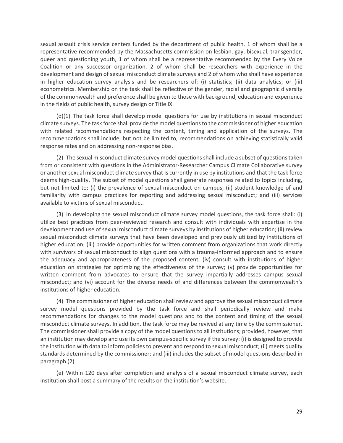sexual assault crisis service centers funded by the department of public health, 1 of whom shall be a representative recommended by the Massachusetts commission on lesbian, gay, bisexual, transgender, queer and questioning youth, 1 of whom shall be a representative recommended by the Every Voice Coalition or any successor organization, 2 of whom shall be researchers with experience in the development and design of sexual misconduct climate surveys and 2 of whom who shall have experience in higher education survey analysis and be researchers of: (i) statistics; (ii) data analytics; or (iii) econometrics. Membership on the task shall be reflective of the gender, racial and geographic diversity of the commonwealth and preference shall be given to those with background, education and experience in the fields of public health, survey design or Title IX.

(d)(1) The task force shall develop model questions for use by institutions in sexual misconduct climate surveys. The task force shall provide the model questions to the commissioner of higher education with related recommendations respecting the content, timing and application of the surveys. The recommendations shall include, but not be limited to, recommendations on achieving statistically valid response rates and on addressing non-response bias.

(2) The sexual misconduct climate survey model questions shall include a subset of questions taken from or consistent with questions in the Administrator-Researcher Campus Climate Collaborative survey or another sexual misconduct climate survey that is currently in use by institutions and that the task force deems high-quality. The subset of model questions shall generate responses related to topics including, but not limited to: (i) the prevalence of sexual misconduct on campus; (ii) student knowledge of and familiarity with campus practices for reporting and addressing sexual misconduct; and (iii) services available to victims of sexual misconduct.

(3) In developing the sexual misconduct climate survey model questions, the task force shall: (i) utilize best practices from peer-reviewed research and consult with individuals with expertise in the development and use of sexual misconduct climate surveys by institutions of higher education; (ii) review sexual misconduct climate surveys that have been developed and previously utilized by institutions of higher education; (iii) provide opportunities for written comment from organizations that work directly with survivors of sexual misconduct to align questions with a trauma-informed approach and to ensure the adequacy and appropriateness of the proposed content; (iv) consult with institutions of higher education on strategies for optimizing the effectiveness of the survey; (v) provide opportunities for written comment from advocates to ensure that the survey impartially addresses campus sexual misconduct; and (vi) account for the diverse needs of and differences between the commonwealth's institutions of higher education.

(4) The commissioner of higher education shall review and approve the sexual misconduct climate survey model questions provided by the task force and shall periodically review and make recommendations for changes to the model questions and to the content and timing of the sexual misconduct climate surveys. In addition, the task force may be revived at any time by the commissioner. The commissioner shall provide a copy of the model questions to all institutions; provided, however, that an institution may develop and use its own campus-specific survey if the survey: (i) is designed to provide the institution with data to inform policies to prevent and respond to sexual misconduct; (ii) meets quality standards determined by the commissioner; and (iii) includes the subset of model questions described in paragraph (2).

(e) Within 120 days after completion and analysis of a sexual misconduct climate survey, each institution shall post a summary of the results on the institution's website.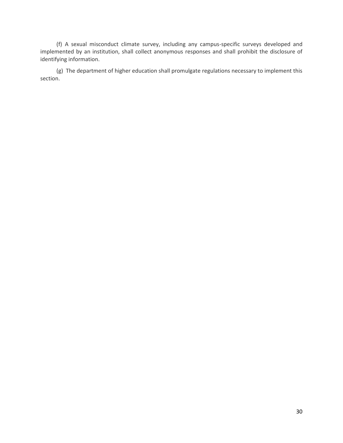(f) A sexual misconduct climate survey, including any campus-specific surveys developed and implemented by an institution, shall collect anonymous responses and shall prohibit the disclosure of identifying information.

(g) The department of higher education shall promulgate regulations necessary to implement this section.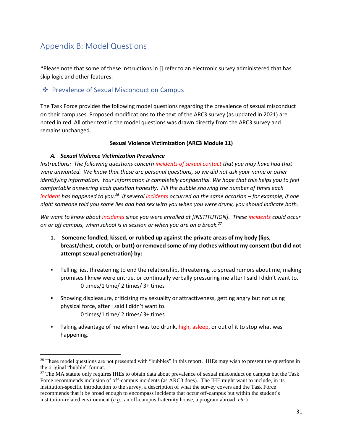# <span id="page-30-0"></span>Appendix B: Model Questions

\*Please note that some of these instructions in [] refer to an electronic survey administered that has skip logic and other features.

## <span id="page-30-1"></span>❖ Prevalence of Sexual Misconduct on Campus

The Task Force provides the following model questions regarding the prevalence of sexual misconduct on their campuses. Proposed modifications to the text of the ARC3 survey (as updated in 2021) are noted in red. All other text in the model questions was drawn directly from the ARC3 survey and remains unchanged.

## **Sexual Violence Victimization (ARC3 Module 11)**

## *A. Sexual Violence Victimization Prevalence*

*Instructions: The following questions concern incidents of sexual contact that you may have had that were unwanted. We know that these are personal questions, so we did not ask your name or other identifying information. Your information is completely confidential. We hope that this helps you to feel comfortable answering each question honestly. Fill the bubble showing the number of times each incident has happened to you.<sup>26</sup> If several incidents occurred on the same occasion – for example, if one night someone told you some lies and had sex with you when you were drunk, you should indicate both.*

*We want to know about incidents since you were enrolled at [INSTITUTION]. These incidents could occur on or off campus, when school is in session or when you are on a break.<sup>27</sup>*

- **1. Someone fondled, kissed, or rubbed up against the private areas of my body (lips, breast/chest, crotch, or butt) or removed some of my clothes without my consent (but did not attempt sexual penetration) by:**
- **•** Telling lies, threatening to end the relationship, threatening to spread rumors about me, making promises I knew were untrue, or continually verbally pressuring me after I said I didn't want to. 0 times/1 time/ 2 times/ 3+ times
- **•** Showing displeasure, criticizing my sexuality or attractiveness, getting angry but not using physical force, after I said I didn't want to. 0 times/1 time/ 2 times/ 3+ times
- Taking advantage of me when I was too drunk, high, asleep, or out of it to stop what was happening.

 $26$  These model questions are not presented with "bubbles" in this report. IHEs may wish to present the questions in the original "bubble" format.

<sup>&</sup>lt;sup>27</sup> The MA statute only requires IHEs to obtain data about prevalence of sexual misconduct on campus but the Task Force recommends inclusion of off-campus incidents (as ARC3 does). The IHE might want to include, in its institution-specific introduction to the survey, a description of what the survey covers and the Task Force recommends that it be broad enough to encompass incidents that occur off-campus but within the student's institution-related environment (*e.g.,* an off-campus fraternity house, a program abroad, *etc.*)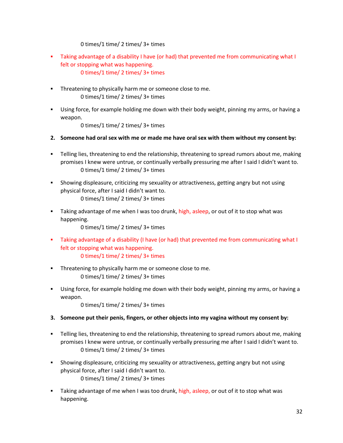0 times/1 time/ 2 times/ 3+ times

- Taking advantage of a disability I have (or had) that prevented me from communicating what I felt or stopping what was happening. 0 times/1 time/ 2 times/ 3+ times
- **•** Threatening to physically harm me or someone close to me. 0 times/1 time/ 2 times/ 3+ times
- Using force, for example holding me down with their body weight, pinning my arms, or having a weapon.

0 times/1 time/ 2 times/ 3+ times

- **2. Someone had oral sex with me or made me have oral sex with them without my consent by:**
- **•** Telling lies, threatening to end the relationship, threatening to spread rumors about me, making promises I knew were untrue, or continually verbally pressuring me after I said I didn't want to. 0 times/1 time/ 2 times/ 3+ times
- **•** Showing displeasure, criticizing my sexuality or attractiveness, getting angry but not using physical force, after I said I didn't want to. 0 times/1 time/ 2 times/ 3+ times
- **■** Taking advantage of me when I was too drunk, high, asleep, or out of it to stop what was happening.

0 times/1 time/ 2 times/ 3+ times

- Taking advantage of a disability (I have (or had) that prevented me from communicating what I felt or stopping what was happening. 0 times/1 time/ 2 times/ 3+ times
- Threatening to physically harm me or someone close to me. 0 times/1 time/ 2 times/ 3+ times
- Using force, for example holding me down with their body weight, pinning my arms, or having a weapon.
	- 0 times/1 time/ 2 times/ 3+ times
- **3. Someone put their penis, fingers, or other objects into my vagina without my consent by:**
- **•** Telling lies, threatening to end the relationship, threatening to spread rumors about me, making promises I knew were untrue, or continually verbally pressuring me after I said I didn't want to. 0 times/1 time/ 2 times/ 3+ times
- **•** Showing displeasure, criticizing my sexuality or attractiveness, getting angry but not using physical force, after I said I didn't want to. 0 times/1 time/ 2 times/ 3+ times
- **E** Taking advantage of me when I was too drunk, high, asleep, or out of it to stop what was happening.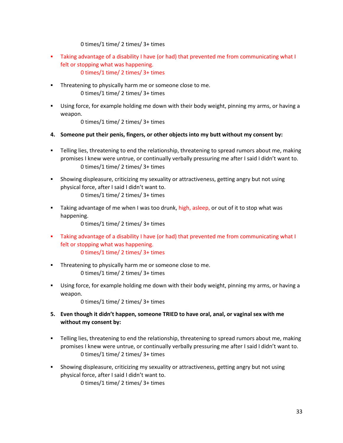0 times/1 time/ 2 times/ 3+ times

- Taking advantage of a disability I have (or had) that prevented me from communicating what I felt or stopping what was happening. 0 times/1 time/ 2 times/ 3+ times
- **•** Threatening to physically harm me or someone close to me. 0 times/1 time/ 2 times/ 3+ times
- Using force, for example holding me down with their body weight, pinning my arms, or having a weapon.

0 times/1 time/ 2 times/ 3+ times

- **4. Someone put their penis, fingers, or other objects into my butt without my consent by:**
- **•** Telling lies, threatening to end the relationship, threatening to spread rumors about me, making promises I knew were untrue, or continually verbally pressuring me after I said I didn't want to. 0 times/1 time/ 2 times/ 3+ times
- **•** Showing displeasure, criticizing my sexuality or attractiveness, getting angry but not using physical force, after I said I didn't want to. 0 times/1 time/ 2 times/ 3+ times
- **E** Taking advantage of me when I was too drunk, high, asleep, or out of it to stop what was happening.

0 times/1 time/ 2 times/ 3+ times

- Taking advantage of a disability I have (or had) that prevented me from communicating what I felt or stopping what was happening. 0 times/1 time/ 2 times/ 3+ times
- **•** Threatening to physically harm me or someone close to me. 0 times/1 time/ 2 times/ 3+ times
- **■** Using force, for example holding me down with their body weight, pinning my arms, or having a weapon.

0 times/1 time/ 2 times/ 3+ times

- **5. Even though it didn't happen, someone TRIED to have oral, anal, or vaginal sex with me without my consent by:**
- **•** Telling lies, threatening to end the relationship, threatening to spread rumors about me, making promises I knew were untrue, or continually verbally pressuring me after I said I didn't want to. 0 times/1 time/ 2 times/ 3+ times
- **•** Showing displeasure, criticizing my sexuality or attractiveness, getting angry but not using physical force, after I said I didn't want to. 0 times/1 time/ 2 times/ 3+ times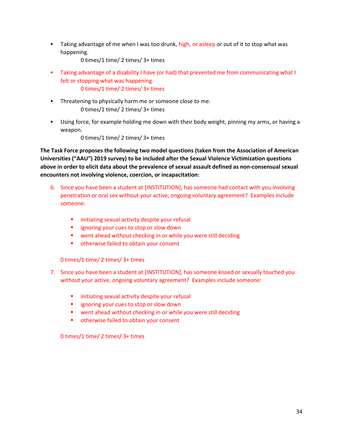Taking advantage of me when I was too drunk, high, or asleep or out of it to stop what was happening.

0 times/1 time/ 2 times/ 3+ times

- Taking advantage of a disability I have (or had) that prevented me from communicating what I felt or stopping what was happening. 0 times/1 time/ 2 times/ 3+ times
- **•** Threatening to physically harm me or someone close to me. 0 times/1 time/ 2 times/ 3+ times
- Using force, for example holding me down with their body weight, pinning my arms, or having a weapon.

0 times/1 time/ 2 times/ 3+ times

**The Task Force proposes the following two model questions (taken from the Association of American Universities ("AAU") 2019 survey) to be included after the Sexual Violence Victimization questions above in order to elicit data about the prevalence of sexual assault defined as non-consensual sexual encounters not involving violence, coercion, or incapacitation:**

- 6. Since you have been a student at [INSTITUTION], has someone had contact with you involving penetration or oral sex without your active, ongoing voluntary agreement? Examples include someone:
	- **·** initiating sexual activity despite your refusal
	- **E** ignoring your cues to stop or slow down
	- went ahead without checking in or while you were still deciding
	- otherwise failed to obtain your consent

0 times/1 time/ 2 times/ 3+ times

- 7. Since you have been a student at [INSTITUTION], has someone kissed or sexually touched you without your active, ongoing voluntary agreement? Examples include someone:
	- **E** initiating sexual activity despite your refusal
	- ignoring your cues to stop or slow down
	- went ahead without checking in or while you were still deciding
	- otherwise failed to obtain your consent

0 times/1 time/ 2 times/ 3+ times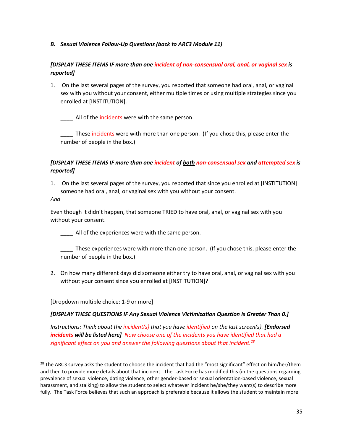*B. Sexual Violence Follow-Up Questions (back to ARC3 Module 11)*

## *[DISPLAY THESE ITEMS IF more than one incident of non-consensual oral, anal, or vaginal sex is reported]*

1. On the last several pages of the survey, you reported that someone had oral, anal, or vaginal sex with you without your consent, either multiple times or using multiple strategies since you enrolled at [INSTITUTION].

All of the incidents were with the same person.

These incidents were with more than one person. (If you chose this, please enter the number of people in the box.)

## *[DISPLAY THESE ITEMS IF more than one incident of both non-consensual sex and attempted sex is reported]*

1. On the last several pages of the survey, you reported that since you enrolled at [INSTITUTION] someone had oral, anal, or vaginal sex with you without your consent.

*And*

Even though it didn't happen, that someone TRIED to have oral, anal, or vaginal sex with you without your consent.

\_\_\_\_ All of the experiences were with the same person.

\_\_\_\_ These experiences were with more than one person. (If you chose this, please enter the number of people in the box.)

2. On how many different days did someone either try to have oral, anal, or vaginal sex with you without your consent since you enrolled at [INSTITUTION]?

[Dropdown multiple choice: 1-9 or more]

## *[DISPLAY THESE QUESTIONS IF Any Sexual Violence Victimization Question is Greater Than 0.]*

*Instructions: Think about the incident(s) that you have identified on the last screen(s). [Endorsed incidents will be listed here] Now choose one of the incidents you have identified that had a significant effect on you and answer the following questions about that incident.<sup>28</sup>*

 $28$  The ARC3 survey asks the student to choose the incident that had the "most significant" effect on him/her/them and then to provide more details about that incident. The Task Force has modified this (in the questions regarding prevalence of sexual violence, dating violence, other gender-based or sexual orientation-based violence, sexual harassment, and stalking) to allow the student to select whatever incident he/she/they want(s) to describe more fully. The Task Force believes that such an approach is preferable because it allows the student to maintain more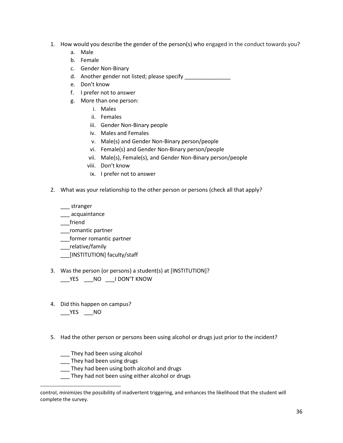- 1. How would you describe the gender of the person(s) who engaged in the conduct towards you?
	- a. Male
	- b. Female
	- c. Gender Non-Binary
	- d. Another gender not listed; please specify \_\_\_\_\_\_\_\_\_\_\_\_\_\_\_\_\_\_\_\_\_\_\_\_\_\_\_\_\_\_\_\_\_\_\_
	- e. Don't know
	- f. I prefer not to answer
	- g. More than one person:
		- i. Males
			- ii. Females
		- iii. Gender Non-Binary people
		- iv. Males and Females
		- v. Male(s) and Gender Non-Binary person/people
		- vi. Female(s) and Gender Non-Binary person/people
		- vii. Male(s), Female(s), and Gender Non-Binary person/people
		- viii. Don't know
		- ix. I prefer not to answer
- 2. What was your relationship to the other person or persons (check all that apply?

\_\_\_ stranger

- \_\_\_ acquaintance
- \_\_\_friend
- \_\_\_romantic partner
- \_\_\_former romantic partner
- \_\_\_relative/family
- \_\_\_[INSTITUTION] faculty/staff
- 3. Was the person (or persons) a student(s) at [INSTITUTION]?

\_\_\_YES \_\_\_NO \_\_\_I DON'T KNOW

4. Did this happen on campus?

 $YES$  \_\_NO

5. Had the other person or persons been using alcohol or drugs just prior to the incident?

\_\_\_ They had been using alcohol

- \_\_\_ They had been using drugs
- \_\_\_ They had been using both alcohol and drugs
- \_\_\_ They had not been using either alcohol or drugs

control, minimizes the possibility of inadvertent triggering, and enhances the likelihood that the student will complete the survey.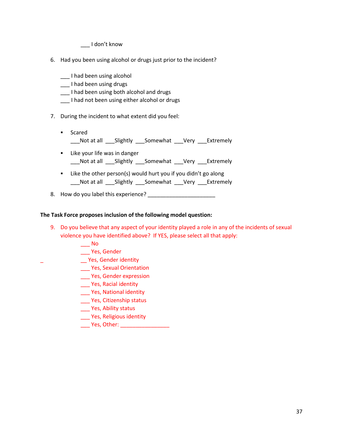\_\_\_ I don't know

- 6. Had you been using alcohol or drugs just prior to the incident?
	- \_\_\_ I had been using alcohol
	- \_\_\_ I had been using drugs
	- \_\_\_ I had been using both alcohol and drugs
	- \_\_\_ I had not been using either alcohol or drugs
- 7. During the incident to what extent did you feel:
	- Scared \_\_\_Not at all \_\_\_Slightly \_\_\_Somewhat \_\_\_Very \_\_\_Extremely
	- Like your life was in danger \_\_\_Not at all \_\_\_Slightly \_\_\_Somewhat \_\_\_Very \_\_\_Extremely
	- Like the other person(s) would hurt you if you didn't go along \_\_\_Not at all \_\_\_Slightly \_\_\_Somewhat \_\_\_Very \_\_\_Extremely
- 8. How do you label this experience?

## **The Task Force proposes inclusion of the following model question:**

- 9. Do you believe that any aspect of your identity played a role in any of the incidents of sexual violence you have identified above? If YES, please select all that apply:
	- $\overline{\phantom{0}}$  No
	- \_\_\_ Yes, Gender
- \_ \_\_ Yes, Gender identity
	- \_\_\_ Yes, Sexual Orientation
	- \_\_\_ Yes, Gender expression
	- \_\_\_ Yes, Racial identity
	- \_\_\_ Yes, National identity
	- \_\_\_ Yes, Citizenship status
	- \_\_\_ Yes, Ability status
	- \_\_\_ Yes, Religious identity
	- Yes, Other: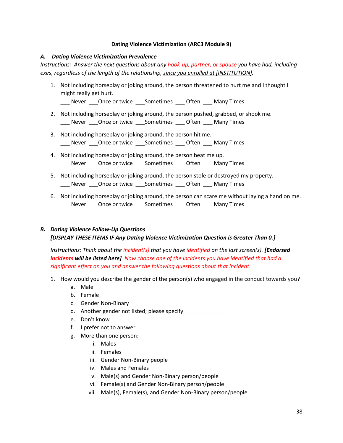## **Dating Violence Victimization (ARC3 Module 9)**

#### *A. Dating Violence Victimization Prevalence*

*Instructions: Answer the next questions about any hook-up, partner, or spouse you have had, including exes, regardless of the length of the relationship, since you enrolled at [INSTITUTION].*

1. Not including horseplay or joking around, the person threatened to hurt me and I thought I might really get hurt.

\_\_\_ Never \_\_\_Once or twice \_\_\_Sometimes \_\_\_ Often \_\_\_ Many Times

- 2. Not including horseplay or joking around, the person pushed, grabbed, or shook me. \_\_\_ Never \_\_\_Once or twice \_\_\_Sometimes \_\_\_ Often \_\_\_ Many Times
- 3. Not including horseplay or joking around, the person hit me. \_\_\_ Never \_\_\_Once or twice \_\_\_Sometimes \_\_\_ Often \_\_\_ Many Times
- 4. Not including horseplay or joking around, the person beat me up. \_\_\_ Never \_\_\_Once or twice \_\_\_Sometimes \_\_\_ Often \_\_\_ Many Times
- 5. Not including horseplay or joking around, the person stole or destroyed my property. \_\_\_ Never \_\_\_Once or twice \_\_\_Sometimes \_\_\_ Often \_\_\_ Many Times
- 6. Not including horseplay or joking around, the person can scare me without laying a hand on me. \_\_\_ Never \_\_\_Once or twice \_\_\_Sometimes \_\_\_ Often \_\_\_ Many Times

## *B. Dating Violence Follow-Up Questions [DISPLAY THESE ITEMS IF Any Dating Violence Victimization Question is Greater Than 0.]*

*Instructions: Think about the incident(s) that you have identified on the last screen(s). [Endorsed incidents will be listed here] Now choose one of the incidents you have identified that had a significant effect on you and answer the following questions about that incident.*

- 1. How would you describe the gender of the person(s) who engaged in the conduct towards you?
	- a. Male
	- b. Female
	- c. Gender Non-Binary
	- d. Another gender not listed; please specify
	- e. Don't know
	- f. I prefer not to answer
	- g. More than one person:
		- i. Males
		- ii. Females
		- iii. Gender Non-Binary people
		- iv. Males and Females
		- v. Male(s) and Gender Non-Binary person/people
		- vi. Female(s) and Gender Non-Binary person/people
		- vii. Male(s), Female(s), and Gender Non-Binary person/people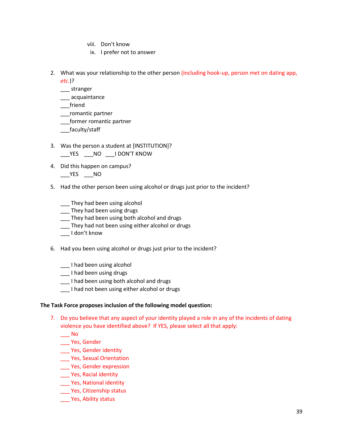- viii. Don't know
- ix. I prefer not to answer
- 2. What was your relationship to the other person (including hook-up, person met on dating app, *etc.*)?
	-
	- \_\_\_ stranger \_\_\_ acquaintance
	- \_\_\_friend
	- \_\_\_romantic partner
	- \_\_\_former romantic partner
	- \_\_\_faculty/staff
- 3. Was the person a student at [INSTITUTION]? \_\_\_YES \_\_\_NO \_\_\_I DON'T KNOW
- 4. Did this happen on campus?
	- $\rule{1em}{0.15mm}$  YES  $\rule{1em}{0.15mm}$  NO
- 5. Had the other person been using alcohol or drugs just prior to the incident?
	- \_\_\_ They had been using alcohol
	- \_\_\_ They had been using drugs
	- \_\_\_ They had been using both alcohol and drugs
	- \_\_\_ They had not been using either alcohol or drugs
	- \_\_\_ I don't know
- 6. Had you been using alcohol or drugs just prior to the incident?
	- \_\_\_ I had been using alcohol
	- \_\_\_ I had been using drugs
	- \_\_\_ I had been using both alcohol and drugs
	- \_\_\_ I had not been using either alcohol or drugs

## **The Task Force proposes inclusion of the following model question:**

- 7. Do you believe that any aspect of your identity played a role in any of the incidents of dating violence you have identified above? If YES, please select all that apply:
	- $\overline{\phantom{0}}$  No
	- \_\_\_ Yes, Gender
	- \_\_\_ Yes, Gender identity
	- \_\_\_ Yes, Sexual Orientation
	- \_\_\_ Yes, Gender expression
	- \_\_\_ Yes, Racial identity
	- \_\_\_ Yes, National identity
	- \_\_\_ Yes, Citizenship status
	- \_\_\_ Yes, Ability status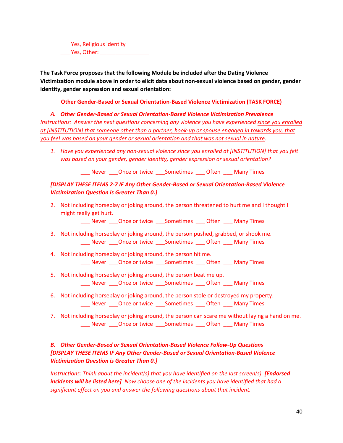\_\_\_ Yes, Religious identity Yes, Other: **William** 

**The Task Force proposes that the following Module be included after the Dating Violence Victimization module above in order to elicit data about non-sexual violence based on gender, gender identity, gender expression and sexual orientation:**

**Other Gender-Based or Sexual Orientation-Based Violence Victimization (TASK FORCE)**

*A. Other Gender-Based or Sexual Orientation-Based Violence Victimization Prevalence Instructions: Answer the next questions concerning any violence you have experienced since you enrolled at [INSTITUTION] that someone other than a partner, hook-up or spouse engaged in towards you, that you feel was based on your gender or sexual orientation and that was not sexual in nature.*

*1. Have you experienced any non-sexual violence since you enrolled at [INSTITUTION] that you felt was based on your gender, gender identity, gender expression or sexual orientation?*

Never **Once or twice** Sometimes Often Many Times

## *[DISPLAY THESE ITEMS 2-7 IF Any Other Gender-Based or Sexual Orientation-Based Violence Victimization Question is Greater Than 0.]*

2. Not including horseplay or joking around, the person threatened to hurt me and I thought I might really get hurt.

\_\_\_ Never \_\_\_Once or twice \_\_\_Sometimes \_\_\_ Often \_\_\_ Many Times

- 3. Not including horseplay or joking around, the person pushed, grabbed, or shook me. \_\_\_ Never \_\_\_Once or twice \_\_\_Sometimes \_\_\_ Often \_\_\_ Many Times
- 4. Not including horseplay or joking around, the person hit me. \_\_\_ Never \_\_\_Once or twice \_\_\_Sometimes \_\_\_ Often \_\_\_ Many Times
- 5. Not including horseplay or joking around, the person beat me up. \_\_\_ Never \_\_\_Once or twice \_\_\_Sometimes \_\_\_ Often \_\_\_ Many Times
- 6. Not including horseplay or joking around, the person stole or destroyed my property. \_\_\_ Never \_\_\_Once or twice \_\_\_Sometimes \_\_\_ Often \_\_\_ Many Times
- 7. Not including horseplay or joking around, the person can scare me without laying a hand on me. \_\_\_ Never \_\_\_Once or twice \_\_\_Sometimes \_\_\_ Often \_\_\_ Many Times

## *B. Other Gender-Based or Sexual Orientation-Based Violence Follow-Up Questions [DISPLAY THESE ITEMS IF Any Other Gender-Based or Sexual Orientation-Based Violence Victimization Question is Greater Than 0.]*

*Instructions: Think about the incident(s) that you have identified on the last screen(s). [Endorsed incidents will be listed here] Now choose one of the incidents you have identified that had a significant effect on you and answer the following questions about that incident.*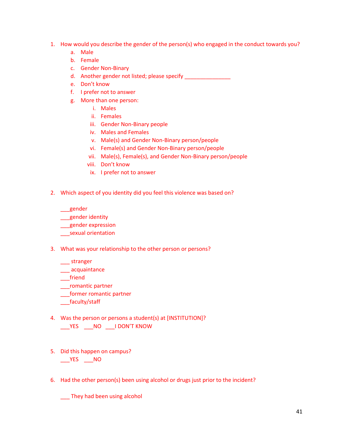- 1. How would you describe the gender of the person(s) who engaged in the conduct towards you?
	- a. Male
	- b. Female
	- c. Gender Non-Binary
	- d. Another gender not listed; please specify
	- e. Don't know
	- f. I prefer not to answer
	- g. More than one person:
		- i. Males
			- ii. Females
			- iii. Gender Non-Binary people
			- iv. Males and Females
			- v. Male(s) and Gender Non-Binary person/people
			- vi. Female(s) and Gender Non-Binary person/people
			- vii. Male(s), Female(s), and Gender Non-Binary person/people
			- viii. Don't know
			- ix. I prefer not to answer
- 2. Which aspect of you identity did you feel this violence was based on?

\_\_\_gender

- \_\_gender identity
- \_\_\_gender expression
- \_\_\_sexual orientation
- 3. What was your relationship to the other person or persons?

\_\_\_ stranger

\_\_\_ acquaintance

\_\_\_friend

- \_\_\_romantic partner
- \_\_\_former romantic partner
- \_\_\_faculty/staff
- 4. Was the person or persons a student(s) at [INSTITUTION]?

\_\_\_YES \_\_\_NO \_\_\_I DON'T KNOW

- 5. Did this happen on campus? \_\_\_YES \_\_\_NO
- 6. Had the other person(s) been using alcohol or drugs just prior to the incident?

\_\_\_ They had been using alcohol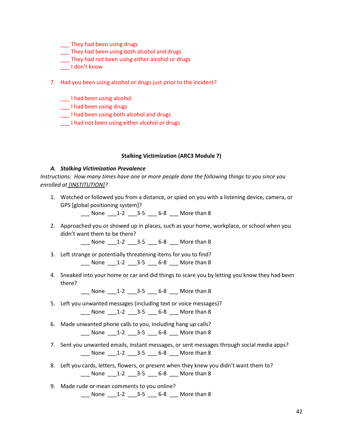- \_\_\_ They had been using drugs
- \_\_\_ They had been using both alcohol and drugs
- \_\_\_ They had not been using either alcohol or drugs
- \_\_\_ I don't know
- 7. Had you been using alcohol or drugs just prior to the incident?
	- \_\_\_ I had been using alcohol
	- \_\_\_ I had been using drugs
	- \_\_\_ I had been using both alcohol and drugs
	- I had not been using either alcohol or drugs

#### **Stalking Victimization (ARC3 Module 7)**

#### *A. Stalking Victimization Prevalence*

*Instructions: How many times have one or more people done the following things to you since you enrolled at [INSTITUTION]?*

1. Watched or followed you from a distance, or spied on you with a listening device, camera, or GPS [global positioning system]?

\_\_\_ None \_\_\_1-2 \_\_\_3-5 \_\_\_ 6-8 \_\_\_ More than 8

2. Approached you or showed up in places, such as your home, workplace, or school when you didn't want them to be there?

\_\_\_ None \_\_\_1-2 \_\_\_3-5 \_\_\_ 6-8 \_\_\_ More than 8

- 3. Left strange or potentially threatening items for you to find? None 1-2 3-5 6-8 More than 8
- 4. Sneaked into your home or car and did things to scare you by letting you know they had been there?

\_\_\_ None \_\_\_1-2 \_\_\_3-5 \_\_\_ 6-8 \_\_\_ More than 8

- 5. Left you unwanted messages (including text or voice messages)? \_\_\_ None \_\_\_1-2 \_\_\_3-5 \_\_\_ 6-8 \_\_\_ More than 8
- 6. Made unwanted phone calls to you, including hang up calls? \_\_\_ None \_\_\_1-2 \_\_\_3-5 \_\_\_ 6-8 \_\_\_ More than 8
- 7. Sent you unwanted emails, instant messages, or sent messages through social media apps? \_\_\_ None \_\_\_1-2 \_\_\_3-5 \_\_\_ 6-8 \_\_\_ More than 8
- 8. Left you cards, letters, flowers, or present when they knew you didn't want them to? \_\_\_ None \_\_\_1-2 \_\_\_3-5 \_\_\_ 6-8 \_\_\_ More than 8
- 9. Made rude or mean comments to you online? \_\_\_ None \_\_\_1-2 \_\_\_3-5 \_\_\_ 6-8 \_\_\_ More than 8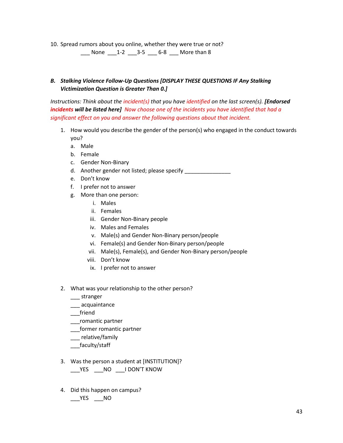10. Spread rumors about you online, whether they were true or not?

\_\_\_ None \_\_\_1-2 \_\_\_3-5 \_\_\_ 6-8 \_\_\_ More than 8

## *B. Stalking Violence Follow-Up Questions [DISPLAY THESE QUESTIONS IF Any Stalking Victimization Question is Greater Than 0.]*

*Instructions: Think about the incident(s) that you have identified on the last screen(s). [Endorsed incidents will be listed here] Now choose one of the incidents you have identified that had a significant effect on you and answer the following questions about that incident.*

- 1. How would you describe the gender of the person(s) who engaged in the conduct towards you?
	- a. Male
	- b. Female
	- c. Gender Non-Binary
	- d. Another gender not listed; please specify
	- e. Don't know
	- f. I prefer not to answer
	- g. More than one person:
		- i. Males
		- ii. Females
		- iii. Gender Non-Binary people
		- iv. Males and Females
		- v. Male(s) and Gender Non-Binary person/people
		- vi. Female(s) and Gender Non-Binary person/people
		- vii. Male(s), Female(s), and Gender Non-Binary person/people
		- viii. Don't know
		- ix. I prefer not to answer
- 2. What was your relationship to the other person?
	- \_\_\_ stranger
	- \_\_\_ acquaintance
	- \_\_\_friend
	- \_\_\_romantic partner
	- \_\_\_former romantic partner
	- \_\_\_ relative/family
	- \_\_\_faculty/staff
- 3. Was the person a student at [INSTITUTION]? YES NO IDON'T KNOW
- 4. Did this happen on campus?  $\rule{1em}{0.15mm}$  YES  $\rule{1em}{0.15mm}$  NO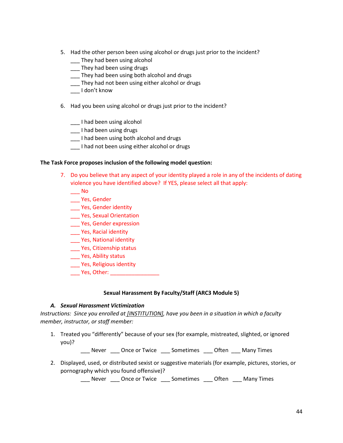- 5. Had the other person been using alcohol or drugs just prior to the incident?
	- \_\_\_ They had been using alcohol
	- \_\_\_ They had been using drugs
	- \_\_\_ They had been using both alcohol and drugs
	- \_\_\_ They had not been using either alcohol or drugs
	- \_\_\_ I don't know
- 6. Had you been using alcohol or drugs just prior to the incident?
	- \_\_\_ I had been using alcohol
	- \_\_\_ I had been using drugs
	- \_\_\_ I had been using both alcohol and drugs
	- \_\_\_ I had not been using either alcohol or drugs

#### **The Task Force proposes inclusion of the following model question:**

- 7. Do you believe that any aspect of your identity played a role in any of the incidents of dating violence you have identified above? If YES, please select all that apply:
	- \_\_\_ No
	- \_\_\_ Yes, Gender
	- \_\_\_ Yes, Gender identity
	- \_\_\_ Yes, Sexual Orientation
	- \_\_\_ Yes, Gender expression
	- \_\_\_ Yes, Racial identity
	- \_\_\_ Yes, National identity
	- \_\_\_ Yes, Citizenship status
	- \_\_\_ Yes, Ability status
	- \_\_\_ Yes, Religious identity
	- \_\_\_\_ Yes, Other: \_\_\_\_\_\_\_\_\_\_\_\_\_\_\_\_\_

## **Sexual Harassment By Faculty/Staff (ARC3 Module 5)**

## *A. Sexual Harassment Victimization*

*Instructions: Since you enrolled at [INSTITUTION], have you been in a situation in which a faculty member, instructor, or staff member:*

1. Treated you "differently" because of your sex (for example, mistreated, slighted, or ignored you)?

\_\_\_ Never \_\_\_ Once or Twice \_\_\_ Sometimes \_\_\_ Often \_\_\_ Many Times

2. Displayed, used, or distributed sexist or suggestive materials (for example, pictures, stories, or pornography which you found offensive)?

\_\_\_ Never \_\_\_ Once or Twice \_\_\_ Sometimes \_\_\_ Often \_\_\_ Many Times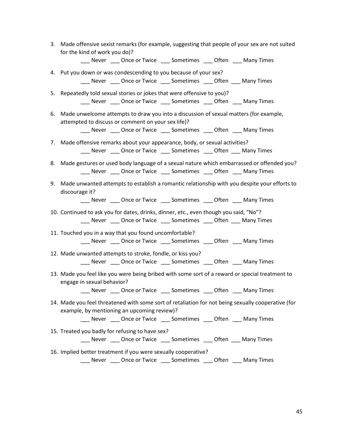- 3. Made offensive sexist remarks (for example, suggesting that people of your sex are not suited for the kind of work you do)?
	- \_\_\_ Never \_\_\_ Once or Twice \_\_\_ Sometimes \_\_\_ Often \_\_\_ Many Times
- 4. Put you down or was condescending to you because of your sex? Never Qnce or Twice Sometimes Qften Many Times
- 5. Repeatedly told sexual stories or jokes that were offensive to you)? Never Qnce or Twice Sometimes Qften Many Times
- 6. Made unwelcome attempts to draw you into a discussion of sexual matters (for example, attempted to discuss or comment on your sex life)?

\_\_\_ Never \_\_\_ Once or Twice \_\_\_ Sometimes \_\_\_ Often \_\_\_ Many Times

- 7. Made offensive remarks about your appearance, body, or sexual activities? \_\_\_ Never \_\_\_ Once or Twice \_\_\_ Sometimes \_\_\_ Often \_\_\_ Many Times
- 8. Made gestures or used body language of a sexual nature which embarrassed or offended you? \_\_\_ Never \_\_\_ Once or Twice \_\_\_ Sometimes \_\_\_ Often \_\_\_ Many Times
- 9. Made unwanted attempts to establish a romantic relationship with you despite your efforts to discourage it?

\_\_\_ Never \_\_\_ Once or Twice \_\_\_ Sometimes \_\_\_ Often \_\_\_ Many Times

- 10. Continued to ask you for dates, drinks, dinner, etc., even though you said, "No"? \_\_\_ Never \_\_\_ Once or Twice \_\_\_ Sometimes \_\_\_ Often \_\_\_ Many Times
- 11. Touched you in a way that you found uncomfortable? \_\_\_ Never \_\_\_ Once or Twice \_\_\_ Sometimes \_\_\_ Often \_\_\_ Many Times
- 12. Made unwanted attempts to stroke, fondle, or kiss you? \_\_\_ Never \_\_\_ Once or Twice \_\_\_ Sometimes \_\_\_ Often \_\_\_ Many Times
- 13. Made you feel like you were being bribed with some sort of a reward or special treatment to engage in sexual behavior?

Never Donce or Twice Sometimes Often Many Times

- 14. Made you feel threatened with some sort of retaliation for not being sexually cooperative (for example, by mentioning an upcoming review)?
	- \_\_\_ Never \_\_\_ Once or Twice \_\_\_ Sometimes \_\_\_ Often \_\_\_ Many Times
- 15. Treated you badly for refusing to have sex? \_\_\_ Never \_\_\_ Once or Twice \_\_\_ Sometimes \_\_\_ Often \_\_\_ Many Times
- 16. Implied better treatment if you were sexually cooperative?

\_\_\_ Never \_\_\_ Once or Twice \_\_\_ Sometimes \_\_\_ Often \_\_\_ Many Times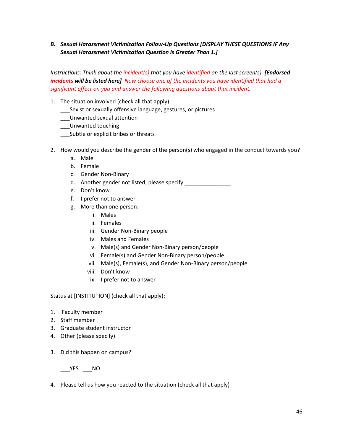*B. Sexual Harassment Victimization Follow-Up Questions [DISPLAY THESE QUESTIONS IF Any Sexual Harassment Victimization Question is Greater Than 1.]*

*Instructions: Think about the incident(s) that you have identified on the last screen(s). [Endorsed incidents will be listed here] Now choose one of the incidents you have identified that had a significant effect on you and answer the following questions about that incident.*

- 1. The situation involved (check all that apply)
	- \_\_\_Sexist or sexually offensive language, gestures, or pictures
	- \_\_\_Unwanted sexual attention
	- \_\_\_Unwanted touching
	- \_\_\_Subtle or explicit bribes or threats
- 2. How would you describe the gender of the person(s) who engaged in the conduct towards you?
	- a. Male
	- b. Female
	- c. Gender Non-Binary
	- d. Another gender not listed; please specify \_\_\_\_\_\_\_\_\_\_\_\_\_\_\_\_\_\_\_\_\_\_\_\_\_\_\_\_\_\_\_\_\_\_\_
	- e. Don't know
	- f. I prefer not to answer
	- g. More than one person:
		- i. Males
		- ii. Females
		- iii. Gender Non-Binary people
		- iv. Males and Females
		- v. Male(s) and Gender Non-Binary person/people
		- vi. Female(s) and Gender Non-Binary person/people
		- vii. Male(s), Female(s), and Gender Non-Binary person/people
		- viii. Don't know
		- ix. I prefer not to answer

Status at [INSTITUTION] (check all that apply):

- 1. Faculty member
- 2. Staff member
- 3. Graduate student instructor
- 4. Other (please specify)
- 3. Did this happen on campus?

 $YES$  \_\_NO

4. Please tell us how you reacted to the situation (check all that apply)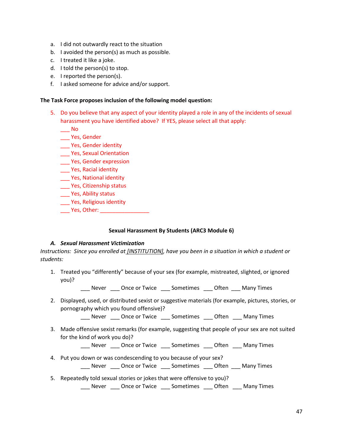- a. I did not outwardly react to the situation
- b. I avoided the person(s) as much as possible.
- c. I treated it like a joke.
- d. I told the person(s) to stop.
- e. I reported the person(s).
- f. I asked someone for advice and/or support.

#### **The Task Force proposes inclusion of the following model question:**

5. Do you believe that any aspect of your identity played a role in any of the incidents of sexual harassment you have identified above? If YES, please select all that apply:

\_\_\_ No

- \_\_\_ Yes, Gender
- \_\_\_ Yes, Gender identity
- \_\_\_ Yes, Sexual Orientation
- \_\_\_ Yes, Gender expression
- \_\_\_ Yes, Racial identity
- \_\_\_ Yes, National identity
- \_\_\_ Yes, Citizenship status
- \_\_\_ Yes, Ability status
- \_\_\_ Yes, Religious identity
- Yes, Other: **William**

## **Sexual Harassment By Students (ARC3 Module 6)**

## *A. Sexual Harassment Victimization*

*Instructions: Since you enrolled at [INSTITUTION], have you been in a situation in which a student or students:*

1. Treated you "differently" because of your sex (for example, mistreated, slighted, or ignored you)?

\_\_\_ Never \_\_\_ Once or Twice \_\_\_ Sometimes \_\_\_ Often \_\_\_ Many Times

2. Displayed, used, or distributed sexist or suggestive materials (for example, pictures, stories, or pornography which you found offensive)?

\_\_\_ Never \_\_\_ Once or Twice \_\_\_ Sometimes \_\_\_ Often \_\_\_ Many Times

3. Made offensive sexist remarks (for example, suggesting that people of your sex are not suited for the kind of work you do)?

\_\_\_ Never \_\_\_ Once or Twice \_\_\_ Sometimes \_\_\_ Often \_\_\_ Many Times

4. Put you down or was condescending to you because of your sex?

\_\_\_ Never \_\_\_ Once or Twice \_\_\_ Sometimes \_\_\_ Often \_\_\_ Many Times

5. Repeatedly told sexual stories or jokes that were offensive to you)? \_\_\_ Never \_\_\_ Once or Twice \_\_\_ Sometimes \_\_\_ Often \_\_\_ Many Times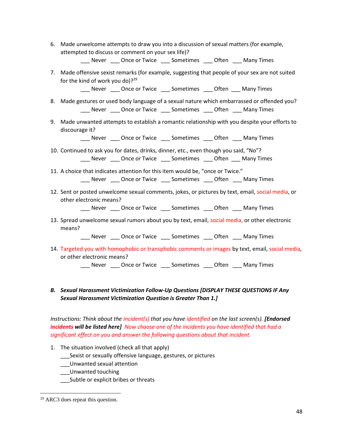6. Made unwelcome attempts to draw you into a discussion of sexual matters (for example, attempted to discuss or comment on your sex life)?

\_\_\_ Never \_\_\_ Once or Twice \_\_\_ Sometimes \_\_\_ Often \_\_\_ Many Times

7. Made offensive sexist remarks (for example, suggesting that people of your sex are not suited for the kind of work you do)? $29$ 

\_\_\_ Never \_\_\_ Once or Twice \_\_\_ Sometimes \_\_\_ Often \_\_\_ Many Times

- 8. Made gestures or used body language of a sexual nature which embarrassed or offended you? \_\_\_ Never \_\_\_ Once or Twice \_\_\_ Sometimes \_\_\_ Often \_\_\_ Many Times
- 9. Made unwanted attempts to establish a romantic relationship with you despite your efforts to discourage it?

\_\_\_ Never \_\_\_ Once or Twice \_\_\_ Sometimes \_\_\_ Often \_\_\_ Many Times

- 10. Continued to ask you for dates, drinks, dinner, etc., even though you said, "No"? \_\_\_ Never \_\_\_ Once or Twice \_\_\_ Sometimes \_\_\_ Often \_\_\_ Many Times
- 11. A choice that indicates attention for this item would be, "once or Twice." \_\_\_ Never \_\_\_ Once or Twice \_\_\_ Sometimes \_\_\_ Often \_\_\_ Many Times
- 12. Sent or posted unwelcome sexual comments, jokes, or pictures by text, email, social media, or other electronic means?

\_\_\_ Never \_\_\_ Once or Twice \_\_\_ Sometimes \_\_\_ Often \_\_\_ Many Times

13. Spread unwelcome sexual rumors about you by text, email, social media, or other electronic means?

Never Donce or Twice Sometimes Often Many Times

14. Targeted you with homophobic or transphobic comments or images by text, email, social media, or other electronic means?

Never Qnce or Twice Sometimes Qften Many Times

*B. Sexual Harassment Victimization Follow-Up Questions [DISPLAY THESE QUESTIONS IF Any Sexual Harassment Victimization Question is Greater Than 1.]*

*Instructions: Think about the incident(s) that you have identified on the last screen(s). [Endorsed incidents will be listed here] Now choose one of the incidents you have identified that had a significant effect on you and answer the following questions about that incident.*

1. The situation involved (check all that apply)

\_\_\_Sexist or sexually offensive language, gestures, or pictures

- \_\_\_Unwanted sexual attention
- \_\_\_Unwanted touching
- \_\_\_Subtle or explicit bribes or threats

<sup>29</sup> ARC3 does repeat this question.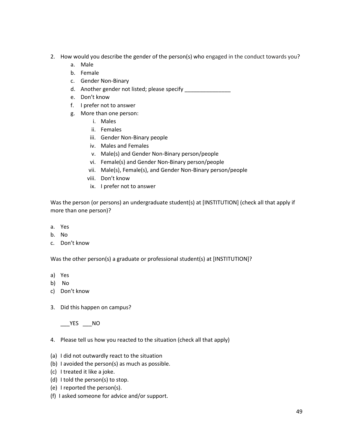- 2. How would you describe the gender of the person(s) who engaged in the conduct towards you?
	- a. Male
	- b. Female
	- c. Gender Non-Binary
	- d. Another gender not listed; please specify \_\_\_\_\_\_\_\_\_\_\_\_\_\_\_\_
	- e. Don't know
	- f. I prefer not to answer
	- g. More than one person:
		- i. Males
		- ii. Females
		- iii. Gender Non-Binary people
		- iv. Males and Females
		- v. Male(s) and Gender Non-Binary person/people
		- vi. Female(s) and Gender Non-Binary person/people
		- vii. Male(s), Female(s), and Gender Non-Binary person/people
		- viii. Don't know
		- ix. I prefer not to answer

Was the person (or persons) an undergraduate student(s) at [INSTITUTION] (check all that apply if more than one person)?

- a. Yes
- b. No
- c. Don't know

Was the other person(s) a graduate or professional student(s) at [INSTITUTION]?

- a) Yes
- b) No
- c) Don't know
- 3. Did this happen on campus?

YES NO

- 4. Please tell us how you reacted to the situation (check all that apply)
- (a) I did not outwardly react to the situation
- (b) I avoided the person(s) as much as possible.
- (c) I treated it like a joke.
- (d) I told the person(s) to stop.
- (e) I reported the person(s).
- (f) I asked someone for advice and/or support.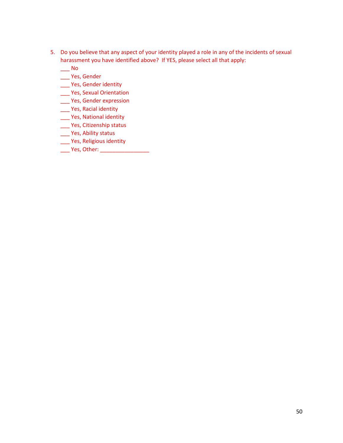- 5. Do you believe that any aspect of your identity played a role in any of the incidents of sexual harassment you have identified above? If YES, please select all that apply:
	- \_\_\_ No
	- \_\_\_ Yes, Gender
	- \_\_\_ Yes, Gender identity
	- \_\_\_ Yes, Sexual Orientation
	- \_\_\_ Yes, Gender expression
	- \_\_\_ Yes, Racial identity
	- \_\_\_ Yes, National identity
	- \_\_\_ Yes, Citizenship status
	- \_\_\_ Yes, Ability status
	- \_\_\_ Yes, Religious identity
	- \_\_\_ Yes, Other: \_\_\_\_\_\_\_\_\_\_\_\_\_\_\_\_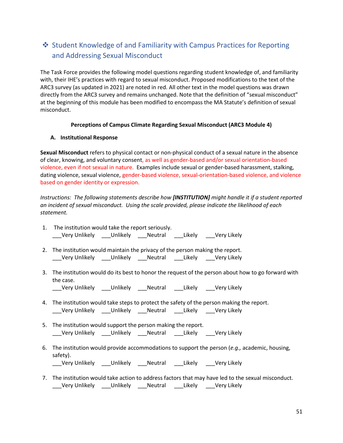## <span id="page-50-0"></span>❖ Student Knowledge of and Familiarity with Campus Practices for Reporting and Addressing Sexual Misconduct

The Task Force provides the following model questions regarding student knowledge of, and familiarity with, their IHE's practices with regard to sexual misconduct. Proposed modifications to the text of the ARC3 survey (as updated in 2021) are noted in red. All other text in the model questions was drawn directly from the ARC3 survey and remains unchanged. Note that the definition of "sexual misconduct" at the beginning of this module has been modified to encompass the MA Statute's definition of sexual misconduct.

## **Perceptions of Campus Climate Regarding Sexual Misconduct (ARC3 Module 4)**

## **A. Institutional Response**

**Sexual Misconduct** refers to physical contact or non-physical conduct of a sexual nature in the absence of clear, knowing, and voluntary consent, as well as gender-based and/or sexual orientation-based violence, even if not sexual in nature. Examples include sexual or gender-based harassment, stalking, dating violence, sexual violence, gender-based violence, sexual-orientation-based violence, and violence based on gender identity or expression.

*Instructions: The following statements describe how [INSTITUTION] might handle it if a student reported an incident of sexual misconduct. Using the scale provided, please indicate the likelihood of each statement.*

| ___Very Unlikely ____Unlikely ____Neutral ____Likely ____Very Likely<br>2. The institution would maintain the privacy of the person making the report.<br>___Very Unlikely ____Unlikely ____Neutral ____Likely ____Very Likely<br>3. The institution would do its best to honor the request of the person about how to go forward with<br>the case.<br>__Very Unlikely ___Unlikely ___Neutral ___Likely ___Very Likely<br>4. The institution would take steps to protect the safety of the person making the report.<br>___Very Unlikely ____Unlikely ____Neutral ____Likely ____Very Likely<br>5. The institution would support the person making the report.<br>___Very Unlikely ____Unlikely ____Neutral ____Likely ____Very Likely<br>6. The institution would provide accommodations to support the person (e.g., academic, housing,<br>safety).<br>___Very Unlikely ____Unlikely ____Neutral ____Likely ____Very Likely<br>7. The institution would take action to address factors that may have led to the sexual misconduct.<br>_Very Unlikely     ____ Unlikely     ____ Neutral     ____ Likely     ____ Very Likely | 1. The institution would take the report seriously. |
|--------------------------------------------------------------------------------------------------------------------------------------------------------------------------------------------------------------------------------------------------------------------------------------------------------------------------------------------------------------------------------------------------------------------------------------------------------------------------------------------------------------------------------------------------------------------------------------------------------------------------------------------------------------------------------------------------------------------------------------------------------------------------------------------------------------------------------------------------------------------------------------------------------------------------------------------------------------------------------------------------------------------------------------------------------------------------------------------------------------------------------|-----------------------------------------------------|
|                                                                                                                                                                                                                                                                                                                                                                                                                                                                                                                                                                                                                                                                                                                                                                                                                                                                                                                                                                                                                                                                                                                                |                                                     |
|                                                                                                                                                                                                                                                                                                                                                                                                                                                                                                                                                                                                                                                                                                                                                                                                                                                                                                                                                                                                                                                                                                                                |                                                     |
|                                                                                                                                                                                                                                                                                                                                                                                                                                                                                                                                                                                                                                                                                                                                                                                                                                                                                                                                                                                                                                                                                                                                |                                                     |
|                                                                                                                                                                                                                                                                                                                                                                                                                                                                                                                                                                                                                                                                                                                                                                                                                                                                                                                                                                                                                                                                                                                                |                                                     |
|                                                                                                                                                                                                                                                                                                                                                                                                                                                                                                                                                                                                                                                                                                                                                                                                                                                                                                                                                                                                                                                                                                                                |                                                     |
|                                                                                                                                                                                                                                                                                                                                                                                                                                                                                                                                                                                                                                                                                                                                                                                                                                                                                                                                                                                                                                                                                                                                |                                                     |
|                                                                                                                                                                                                                                                                                                                                                                                                                                                                                                                                                                                                                                                                                                                                                                                                                                                                                                                                                                                                                                                                                                                                |                                                     |
|                                                                                                                                                                                                                                                                                                                                                                                                                                                                                                                                                                                                                                                                                                                                                                                                                                                                                                                                                                                                                                                                                                                                |                                                     |
|                                                                                                                                                                                                                                                                                                                                                                                                                                                                                                                                                                                                                                                                                                                                                                                                                                                                                                                                                                                                                                                                                                                                |                                                     |
|                                                                                                                                                                                                                                                                                                                                                                                                                                                                                                                                                                                                                                                                                                                                                                                                                                                                                                                                                                                                                                                                                                                                |                                                     |
|                                                                                                                                                                                                                                                                                                                                                                                                                                                                                                                                                                                                                                                                                                                                                                                                                                                                                                                                                                                                                                                                                                                                |                                                     |
|                                                                                                                                                                                                                                                                                                                                                                                                                                                                                                                                                                                                                                                                                                                                                                                                                                                                                                                                                                                                                                                                                                                                |                                                     |
|                                                                                                                                                                                                                                                                                                                                                                                                                                                                                                                                                                                                                                                                                                                                                                                                                                                                                                                                                                                                                                                                                                                                |                                                     |
|                                                                                                                                                                                                                                                                                                                                                                                                                                                                                                                                                                                                                                                                                                                                                                                                                                                                                                                                                                                                                                                                                                                                |                                                     |
|                                                                                                                                                                                                                                                                                                                                                                                                                                                                                                                                                                                                                                                                                                                                                                                                                                                                                                                                                                                                                                                                                                                                |                                                     |
|                                                                                                                                                                                                                                                                                                                                                                                                                                                                                                                                                                                                                                                                                                                                                                                                                                                                                                                                                                                                                                                                                                                                |                                                     |
|                                                                                                                                                                                                                                                                                                                                                                                                                                                                                                                                                                                                                                                                                                                                                                                                                                                                                                                                                                                                                                                                                                                                |                                                     |
|                                                                                                                                                                                                                                                                                                                                                                                                                                                                                                                                                                                                                                                                                                                                                                                                                                                                                                                                                                                                                                                                                                                                |                                                     |
|                                                                                                                                                                                                                                                                                                                                                                                                                                                                                                                                                                                                                                                                                                                                                                                                                                                                                                                                                                                                                                                                                                                                |                                                     |
|                                                                                                                                                                                                                                                                                                                                                                                                                                                                                                                                                                                                                                                                                                                                                                                                                                                                                                                                                                                                                                                                                                                                |                                                     |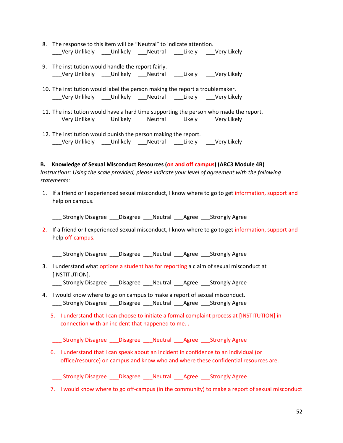- 8. The response to this item will be "Neutral" to indicate attention. \_\_\_Very Unlikely \_\_\_Unlikely \_\_\_Neutral \_\_\_Likely \_\_\_Very Likely
- 9. The institution would handle the report fairly. \_\_\_Very Unlikely \_\_\_Unlikely \_\_\_Neutral \_\_\_Likely \_\_\_Very Likely
- 10. The institution would label the person making the report a troublemaker. \_\_\_Very Unlikely \_\_\_Unlikely \_\_\_Neutral \_\_\_Likely \_\_\_Very Likely
- 11. The institution would have a hard time supporting the person who made the report. \_\_\_Very Unlikely \_\_\_Unlikely \_\_\_Neutral \_\_\_Likely \_\_\_Very Likely
- 12. The institution would punish the person making the report. \_\_\_Very Unlikely \_\_\_Unlikely \_\_\_Neutral \_\_\_Likely \_\_\_Very Likely

## **B. Knowledge of Sexual Misconduct Resources (on and off campus) (ARC3 Module 4B)**

*Instructions: Using the scale provided, please indicate your level of agreement with the following statements:*

1. If a friend or I experienced sexual misconduct, I know where to go to get information, support and help on campus.

Strongly Disagree Disagree Neutral Agree Strongly Agree

2. If a friend or I experienced sexual misconduct, I know where to go to get information, support and help off-campus.

\_\_\_ Strongly Disagree \_\_\_Disagree \_\_\_Neutral \_\_\_Agree \_\_\_Strongly Agree

3. I understand what options a student has for reporting a claim of sexual misconduct at [INSTITUTION].

\_\_\_ Strongly Disagree \_\_\_Disagree \_\_\_Neutral \_\_\_Agree \_\_\_Strongly Agree

- 4. I would know where to go on campus to make a report of sexual misconduct. \_\_\_ Strongly Disagree \_\_\_Disagree \_\_\_Neutral \_\_\_Agree \_\_\_Strongly Agree
	- 5. I understand that I can choose to initiate a formal complaint process at [INSTITUTION] in connection with an incident that happened to me. .
	- \_\_\_ Strongly Disagree \_\_\_Disagree \_\_\_Neutral \_\_\_Agree \_\_\_Strongly Agree
	- 6. I understand that I can speak about an incident in confidence to an individual (or office/resource) on campus and know who and where these confidential resources are.

\_\_\_ Strongly Disagree \_\_\_Disagree \_\_\_Neutral \_\_\_Agree \_\_\_Strongly Agree

7. I would know where to go off-campus (in the community) to make a report of sexual misconduct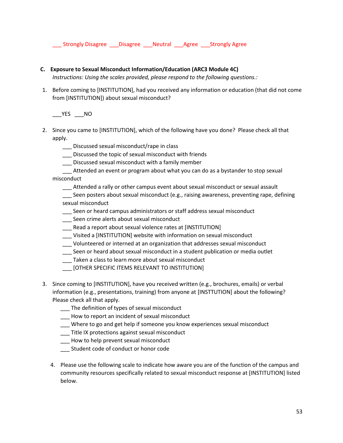\_\_\_ Strongly Disagree \_\_\_Disagree \_\_\_Neutral \_\_\_Agree \_\_\_Strongly Agree

## **C. Exposure to Sexual Misconduct Information/Education (ARC3 Module 4C)**

*Instructions: Using the scales provided, please respond to the following questions.:*

1. Before coming to [INSTITUTION], had you received any information or education (that did not come from [INSTITUTION]) about sexual misconduct?

 $\rule{1em}{0.15mm}$   $\qquad$   $\qquad$   $\qquad$   $\qquad$   $\qquad$   $\qquad$   $\qquad$   $\qquad$   $\qquad$   $\qquad$   $\qquad$   $\qquad$   $\qquad$   $\qquad$   $\qquad$   $\qquad$   $\qquad$   $\qquad$   $\qquad$   $\qquad$   $\qquad$   $\qquad$   $\qquad$   $\qquad$   $\qquad$   $\qquad$   $\qquad$   $\qquad$   $\qquad$   $\qquad$   $\qquad$   $\qquad$   $\qquad$   $\qquad$   $\$ 

- 2. Since you came to [INSTITUTION], which of the following have you done? Please check all that apply.
	- \_\_\_ Discussed sexual misconduct/rape in class
	- \_\_\_ Discussed the topic of sexual misconduct with friends
	- \_\_\_ Discussed sexual misconduct with a family member
	- \_\_\_ Attended an event or program about what you can do as a bystander to stop sexual misconduct
		- \_\_\_ Attended a rally or other campus event about sexual misconduct or sexual assault
		- Seen posters about sexual misconduct (e.g., raising awareness, preventing rape, defining sexual misconduct
		- \_\_\_ Seen or heard campus administrators or staff address sexual misconduct
		- Seen crime alerts about sexual misconduct
		- \_\_\_ Read a report about sexual violence rates at [INSTITUTION]
		- \_\_\_ Visited a [INSTITUTION] website with information on sexual misconduct
		- \_\_\_ Volunteered or interned at an organization that addresses sexual misconduct
		- Seen or heard about sexual misconduct in a student publication or media outlet
		- \_\_\_ Taken a class to learn more about sexual misconduct
		- \_\_\_ [OTHER SPECIFIC ITEMS RELEVANT TO INSTITUTION]
- 3. Since coming to [INSTITUTION], have you received written (e.g., brochures, emails) or verbal information (e.g., presentations, training) from anyone at [INSTTUTION] about the following? Please check all that apply.
	- \_\_\_ The definition of types of sexual misconduct
	- \_\_\_ How to report an incident of sexual misconduct
	- \_\_\_ Where to go and get help if someone you know experiences sexual misconduct
	- \_\_\_ Title IX protections against sexual misconduct
	- \_\_\_ How to help prevent sexual misconduct
	- \_\_\_ Student code of conduct or honor code
	- 4. Please use the following scale to indicate how aware you are of the function of the campus and community resources specifically related to sexual misconduct response at [INSTITUTION] listed below.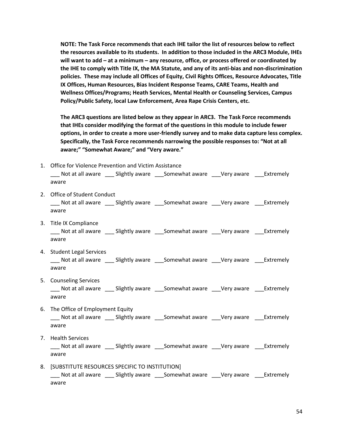**NOTE: The Task Force recommends that each IHE tailor the list of resources below to reflect the resources available to its students. In addition to those included in the ARC3 Module, IHEs will want to add – at a minimum – any resource, office, or process offered or coordinated by the IHE to comply with Title IX, the MA Statute, and any of its anti-bias and non-discrimination policies. These may include all Offices of Equity, Civil Rights Offices, Resource Advocates, Title IX Offices, Human Resources, Bias Incident Response Teams, CARE Teams, Health and Wellness Offices/Programs; Heath Services, Mental Health or Counseling Services, Campus Policy/Public Safety, local Law Enforcement, Area Rape Crisis Centers, etc.**

**The ARC3 questions are listed below as they appear in ARC3. The Task Force recommends that IHEs consider modifying the format of the questions in this module to include fewer options, in order to create a more user-friendly survey and to make data capture less complex. Specifically, the Task Force recommends narrowing the possible responses to: "Not at all aware;" "Somewhat Aware;" and "Very aware."** 

- 1. Office for Violence Prevention and Victim Assistance \_\_\_ Not at all aware \_\_\_ Slightly aware \_\_\_Somewhat aware \_\_\_Very aware \_\_\_Extremely aware 2. Office of Student Conduct \_\_\_ Not at all aware \_\_\_ Slightly aware \_\_\_Somewhat aware \_\_\_Very aware \_\_\_Extremely aware 3. Title IX Compliance \_\_\_ Not at all aware \_\_\_ Slightly aware \_\_\_Somewhat aware \_\_\_Very aware \_\_\_Extremely aware 4. Student Legal Services \_\_\_ Not at all aware \_\_\_ Slightly aware \_\_\_Somewhat aware \_\_\_Very aware \_\_\_Extremely aware 5. Counseling Services \_\_\_ Not at all aware \_\_\_ Slightly aware \_\_\_Somewhat aware \_\_\_Very aware \_\_\_Extremely aware 6. The Office of Employment Equity \_\_\_ Not at all aware \_\_\_ Slightly aware \_\_\_Somewhat aware \_\_\_Very aware \_\_\_Extremely aware 7. Health Services \_\_\_ Not at all aware \_\_\_ Slightly aware \_\_\_Somewhat aware \_\_\_Very aware \_\_\_Extremely aware
- 8. [SUBSTITUTE RESOURCES SPECIFIC TO INSTITUTION] \_\_\_ Not at all aware \_\_\_ Slightly aware \_\_\_Somewhat aware \_\_\_Very aware \_\_\_Extremely aware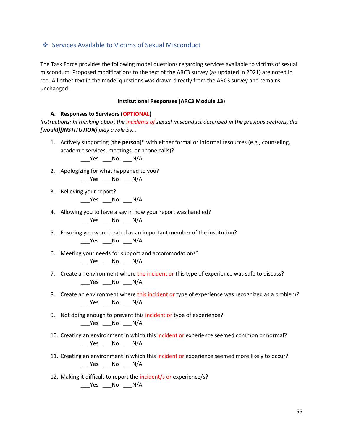## <span id="page-54-0"></span>❖ Services Available to Victims of Sexual Misconduct

The Task Force provides the following model questions regarding services available to victims of sexual misconduct. Proposed modifications to the text of the ARC3 survey (as updated in 2021) are noted in red. All other text in the model questions was drawn directly from the ARC3 survey and remains unchanged.

#### **Institutional Responses (ARC3 Module 13)**

#### **A. Responses to Survivors (OPTIONAL)**

*Instructions: In thinking about the incidents of sexual misconduct described in the previous sections, did [would][INSTITUTION] play a role by…*

1. Actively supporting **[the person]\*** with either formal or informal resources (e.g., counseling, academic services, meetings, or phone calls)?

\_\_\_Yes \_\_\_No \_\_\_N/A

2. Apologizing for what happened to you?

\_\_\_Yes \_\_\_No \_\_\_N/A

3. Believing your report?

\_\_\_Yes \_\_\_No \_\_\_N/A

4. Allowing you to have a say in how your report was handled?

 $\rule{1em}{0.15mm}$   $\qquad$   $\qquad$   $\qquad$   $\qquad$   $\qquad$   $\qquad$   $\qquad$   $\qquad$   $\qquad$   $\qquad$   $\qquad$   $\qquad$   $\qquad$   $\qquad$   $\qquad$   $\qquad$   $\qquad$   $\qquad$   $\qquad$   $\qquad$   $\qquad$   $\qquad$   $\qquad$   $\qquad$   $\qquad$   $\qquad$   $\qquad$   $\qquad$   $\qquad$   $\qquad$   $\qquad$   $\qquad$   $\qquad$   $\qquad$   $\$ 

- 5. Ensuring you were treated as an important member of the institution? \_\_\_Yes \_\_\_No \_\_\_N/A
- 6. Meeting your needs for support and accommodations?

\_\_\_Yes \_\_\_No \_\_\_N/A

- 7. Create an environment where the incident or this type of experience was safe to discuss? \_\_\_Yes \_\_\_No \_\_\_N/A
- 8. Create an environment where this incident or type of experience was recognized as a problem? \_\_\_Yes \_\_\_No \_\_\_N/A
- 9. Not doing enough to prevent this incident or type of experience? \_\_\_Yes \_\_\_No \_\_\_N/A
- 10. Creating an environment in which this incident or experience seemed common or normal? \_\_\_Yes \_\_\_No \_\_\_N/A
- 11. Creating an environment in which this incident or experience seemed more likely to occur? \_\_\_Yes \_\_\_No \_\_\_N/A
- 12. Making it difficult to report the incident/s or experience/s? \_\_\_Yes \_\_\_No \_\_\_N/A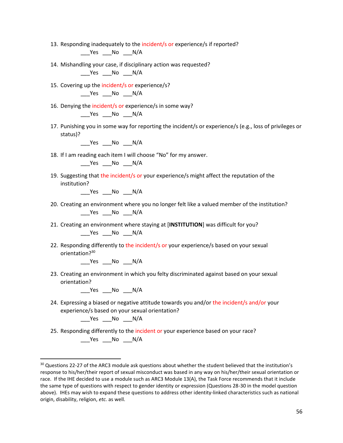- 13. Responding inadequately to the incident/s or experience/s if reported?  $Yes$  No  $N/A$
- 14. Mishandling your case, if disciplinary action was requested? \_\_\_Yes \_\_\_No \_\_\_N/A
- 15. Covering up the incident/s or experience/s?  $Yes$  No  $N/A$
- 16. Denying the incident/s or experience/s in some way?  $Yes$   $No$   $N/A$
- 17. Punishing you in some way for reporting the incident/s or experience/s (e.g., loss of privileges or status)?

Yes No N/A

18. If I am reading each item I will choose "No" for my answer.

 $Yes$  No  $N/A$ 

19. Suggesting that the incident/s or your experience/s might affect the reputation of the institution?

 $\rule{1em}{0.15mm}$  Yes  $\rule{1em}{0.15mm}$  No  $\rule{1em}{0.15mm}$  N/A

- 20. Creating an environment where you no longer felt like a valued member of the institution? \_\_\_Yes \_\_\_No \_\_\_N/A
- 21. Creating an environment where staying at [**INSTITUTION**] was difficult for you?

\_\_\_Yes \_\_\_No \_\_\_N/A

22. Responding differently to the incident/s or your experience/s based on your sexual orientation?<sup>30</sup>

 $\rule{1em}{0.15mm}$ Yes  $\rule{1em}{0.15mm}$ No  $\rule{1em}{0.15mm}$ N/A

23. Creating an environment in which you felty discriminated against based on your sexual orientation?

Yes No N/A

24. Expressing a biased or negative attitude towards you and/or the incident/s and/or your experience/s based on your sexual orientation?

\_\_\_\_Yes \_\_\_\_No \_\_\_\_N/A

25. Responding differently to the incident or your experience based on your race?  $\rule{1em}{0.15mm}$   $\rule{1em}{0.15mm}$   $\rule{1em}{0.15mm}$   $\rule{1em}{0.15mm}$   $\rule{1em}{0.15mm}$   $\rule{1em}{0.15mm}$   $\rule{1em}{0.15mm}$   $\rule{1em}{0.15mm}$   $\rule{1em}{0.15mm}$   $\rule{1em}{0.15mm}$   $\rule{1em}{0.15mm}$   $\rule{1em}{0.15mm}$   $\rule{1em}{0.15mm}$   $\rule{1em}{0.15mm}$   $\rule{1em}{0.15$ 

<sup>&</sup>lt;sup>30</sup> Questions 22-27 of the ARC3 module ask questions about whether the student believed that the institution's response to his/her/their report of sexual misconduct was based in any way on his/her/their sexual orientation or race. If the IHE decided to use a module such as ARC3 Module 13(A), the Task Force recommends that it include the same type of questions with respect to gender identity or expression (Questions 28-30 in the model question above). IHEs may wish to expand these questions to address other identity-linked characteristics such as national origin, disability, religion, *etc.* as well.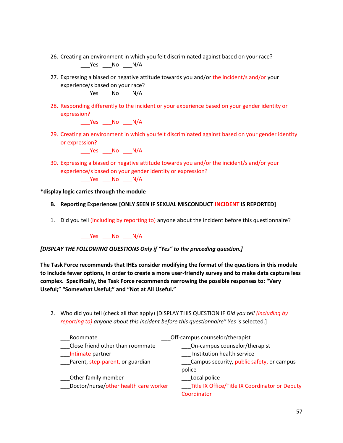- 26. Creating an environment in which you felt discriminated against based on your race?  $Yes$  No  $N/A$
- 27. Expressing a biased or negative attitude towards you and/or the incident/s and/or your experience/s based on your race?

 $Yes$  No  $N/A$ 

28. Responding differently to the incident or your experience based on your gender identity or expression?

Yes No N/A

29. Creating an environment in which you felt discriminated against based on your gender identity or expression?

\_\_\_Yes \_\_\_No \_\_\_N/A

30. Expressing a biased or negative attitude towards you and/or the incident/s and/or your experience/s based on your gender identity or expression?

\_\_\_Yes \_\_\_No \_\_\_N/A

**\*display logic carries through the module**

- **B. Reporting Experiences [ONLY SEEN IF SEXUAL MISCONDUCT INCIDENT IS REPORTED]**
- 1. Did you tell (including by reporting to) anyone about the incident before this questionnaire?

\_\_\_Yes \_\_\_No \_\_\_N/A

## *[DISPLAY THE FOLLOWING QUESTIONS Only if "Yes" to the preceding question.]*

**The Task Force recommends that IHEs consider modifying the format of the questions in this module to include fewer options, in order to create a more user-friendly survey and to make data capture less complex. Specifically, the Task Force recommends narrowing the possible responses to: "Very Useful;" "Somewhat Useful;" and "Not at All Useful."** 

2. Who did you tell (check all that apply) [DISPLAY THIS QUESTION IF *Did you tell (including by reporting to) anyone about this incident before this questionnaire" Yes* is selected.]

| Roommate                              | Off-campus counselor/therapist                 |
|---------------------------------------|------------------------------------------------|
| Close friend other than roommate      | On-campus counselor/therapist                  |
| Intimate partner                      | Institution health service                     |
| __Parent, step-parent, or guardian    | Campus security, public safety, or campus      |
|                                       | police                                         |
| Other family member                   | Local police                                   |
| Doctor/nurse/other health care worker | Title IX Office/Title IX Coordinator or Deputy |
|                                       | Coordinator                                    |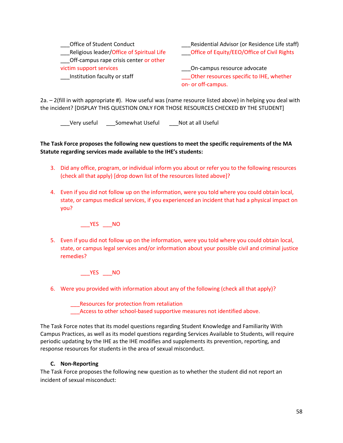| Office of Student Conduct<br>Religious leader/Office of Spiritual Life<br>Off-campus rape crisis center or other | Residential Advisor (or Residence Life staff)<br>Office of Equity/EEO/Office of Civil Rights |
|------------------------------------------------------------------------------------------------------------------|----------------------------------------------------------------------------------------------|
| victim support services<br>Institution faculty or staff                                                          | On-campus resource advocate<br>Other resources specific to IHE, whether                      |
|                                                                                                                  | on- or off-campus.                                                                           |

2a. – 2(fill in with appropriate #). How useful was (name resource listed above) in helping you deal with the incident? [DISPLAY THIS QUESTION ONLY FOR THOSE RESOURCES CHECKED BY THE STUDENT]

\_\_\_Very useful \_\_\_Somewhat Useful \_\_\_Not at all Useful

**The Task Force proposes the following new questions to meet the specific requirements of the MA Statute regarding services made available to the IHE's students:**

- 3. Did any office, program, or individual inform you about or refer you to the following resources (check all that apply) [drop down list of the resources listed above]?
- 4. Even if you did not follow up on the information, were you told where you could obtain local, state, or campus medical services, if you experienced an incident that had a physical impact on you?

\_\_\_YES \_\_\_NO

5. Even if you did not follow up on the information, were you told where you could obtain local, state, or campus legal services and/or information about your possible civil and criminal justice remedies?

\_\_\_YES \_\_\_NO

6. Were you provided with information about any of the following (check all that apply)?

\_\_\_Resources for protection from retaliation Access to other school-based supportive measures not identified above.

The Task Force notes that its model questions regarding Student Knowledge and Familiarity With Campus Practices, as well as its model questions regarding Services Available to Students, will require periodic updating by the IHE as the IHE modifies and supplements its prevention, reporting, and response resources for students in the area of sexual misconduct.

## **C. Non-Reporting**

The Task Force proposes the following new question as to whether the student did not report an incident of sexual misconduct: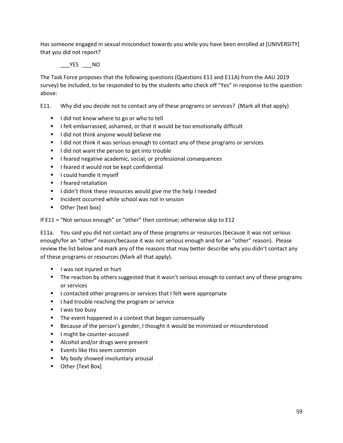Has someone engaged in sexual misconduct towards you while you have been enrolled at [UNIVERSITY] that you did not report?

YES NO

The Task Force proposes that the following questions (Questions E11 and E11A) from the AAU 2019 survey) be included, to be responded to by the students who check off "Yes" in response to the question above:

E11. Why did you decide not to contact any of these programs or services? (Mark all that apply)

- I did not know where to go or who to tell
- I felt embarrassed, ashamed, or that it would be too emotionally difficult
- I did not think anyone would believe me
- I did not think it was serious enough to contact any of these programs or services
- I did not want the person to get into trouble
- I feared negative academic, social, or professional consequences
- I feared it would not be kept confidential
- **■** I could handle it myself
- **■** I feared retaliation
- I didn't think these resources would give me the help I needed
- Incident occurred while school was not in session
- Other [text box]

If E11 = "Not serious enough" or "other" then continue; otherwise skip to E12

E11a. You said you did not contact any of these programs or resources (because it was not serious enough/for an "other" reason/because it was not serious enough and for an "other" reason). Please review the list below and mark any of the reasons that may better describe why you didn't contact any of these programs or resources (Mark all that apply).

- I was not injured or hurt
- **•** The reaction by others suggested that it wasn't serious enough to contact any of these programs or services
- I contacted other programs or services that I felt were appropriate
- I had trouble reaching the program or service
- I was too busy
- The event happened in a context that began consensually
- **EXE** Because of the person's gender, I thought it would be minimized or misunderstood
- I might be counter-accused
- Alcohol and/or drugs were present
- Events like this seem common
- My body showed involuntary arousal
- Other [Text Box]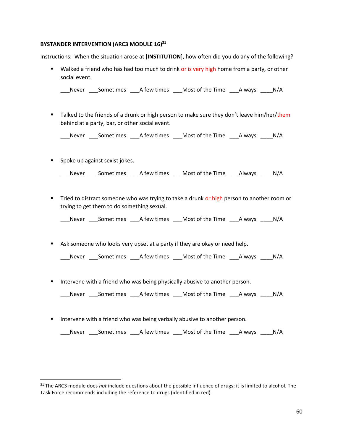#### **BYSTANDER INTERVENTION (ARC3 MODULE 16)<sup>31</sup>**

Instructions: When the situation arose at [**INSTITUTION**], how often did you do any of the following?

**■** Walked a friend who has had too much to drink or is very high home from a party, or other social event.

\_\_\_Never \_\_\_Sometimes \_\_\_A few times \_\_\_Most of the Time \_\_\_Always \_\_\_\_N/A

■ Talked to the friends of a drunk or high person to make sure they don't leave him/her/them behind at a party, bar, or other social event.

\_\_\_Never \_\_\_Sometimes \_\_\_A few times \_\_\_Most of the Time \_\_\_Always \_\_\_\_N/A

■ Spoke up against sexist jokes.

| Never | Sometimes | A few times | Most of the Time | Always | N/A |
|-------|-----------|-------------|------------------|--------|-----|
|       |           |             |                  |        |     |

**•** Tried to distract someone who was trying to take a drunk or high person to another room or trying to get them to do something sexual.

\_\_\_Never \_\_\_Sometimes \_\_\_A few times \_\_\_Most of the Time \_\_\_Always \_\_\_\_N/A

**E** Ask someone who looks very upset at a party if they are okay or need help.

Never Sometimes A few times Most of the Time Always N/A

**■** Intervene with a friend who was being physically abusive to another person.

\_\_\_Never \_\_\_Sometimes \_\_\_A few times \_\_\_Most of the Time \_\_\_Always \_\_\_\_N/A

**EXT** Intervene with a friend who was being verbally abusive to another person.

\_\_\_Never \_\_\_Sometimes \_\_\_A few times \_\_\_Most of the Time \_\_\_Always \_\_\_\_N/A

<sup>31</sup> The ARC3 module does *not* include questions about the possible influence of drugs; it is limited to alcohol. The Task Force recommends including the reference to drugs (identified in red).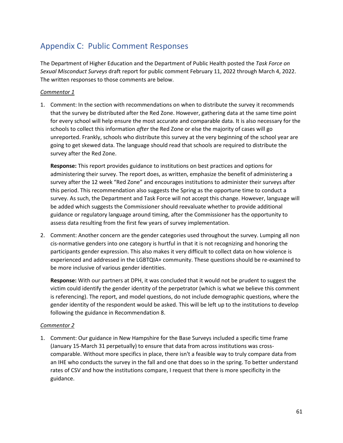# <span id="page-60-0"></span>Appendix C: Public Comment Responses

The Department of Higher Education and the Department of Public Health posted the *Task Force on Sexual Misconduct Surveys* draft report for public comment February 11, 2022 through March 4, 2022. The written responses to those comments are below.

## *Commentor 1*

1. Comment: In the section with recommendations on when to distribute the survey it recommends that the survey be distributed after the Red Zone. However, gathering data at the same time point for every school will help ensure the most accurate and comparable data. It is also necessary for the schools to collect this information *after* the Red Zone or else the majority of cases will go unreported. Frankly, schools who distribute this survey at the very beginning of the school year are going to get skewed data. The language should read that schools are required to distribute the survey after the Red Zone.

**Response:** This report provides guidance to institutions on best practices and options for administering their survey. The report does, as written, emphasize the benefit of administering a survey after the 12 week "Red Zone" and encourages institutions to administer their surveys after this period. This recommendation also suggests the Spring as the opportune time to conduct a survey. As such, the Department and Task Force will not accept this change. However, language will be added which suggests the Commissioner should reevaluate whether to provide additional guidance or regulatory language around timing, after the Commissioner has the opportunity to assess data resulting from the first few years of survey implementation.

2. Comment: Another concern are the gender categories used throughout the survey. Lumping all non cis-normative genders into one category is hurtful in that it is not recognizing and honoring the participants gender expression. This also makes it very difficult to collect data on how violence is experienced and addressed in the LGBTQIA+ community. These questions should be re-examined to be more inclusive of various gender identities.

**Response:** With our partners at DPH, it was concluded that it would not be prudent to suggest the victim could identify the gender identity of the perpetrator (which is what we believe this comment is referencing). The report, and model questions, do not include demographic questions, where the gender identity of the respondent would be asked. This will be left up to the institutions to develop following the guidance in Recommendation 8.

## *Commentor 2*

1. Comment: Our guidance in New Hampshire for the Base Surveys included a specific time frame (January 15-March 31 perpetually) to ensure that data from across institutions was crosscomparable. Without more specifics in place, there isn't a feasible way to truly compare data from an IHE who conducts the survey in the fall and one that does so in the spring. To better understand rates of CSV and how the institutions compare, I request that there is more specificity in the guidance.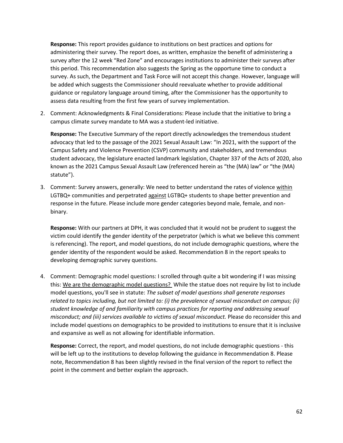**Response:** This report provides guidance to institutions on best practices and options for administering their survey. The report does, as written, emphasize the benefit of administering a survey after the 12 week "Red Zone" and encourages institutions to administer their surveys after this period. This recommendation also suggests the Spring as the opportune time to conduct a survey. As such, the Department and Task Force will not accept this change. However, language will be added which suggests the Commissioner should reevaluate whether to provide additional guidance or regulatory language around timing, after the Commissioner has the opportunity to assess data resulting from the first few years of survey implementation.

2. Comment: Acknowledgments & Final Considerations: Please include that the initiative to bring a campus climate survey mandate to MA was a student-led initiative.

**Response:** The Executive Summary of the report directly acknowledges the tremendous student advocacy that led to the passage of the 2021 Sexual Assault Law: "In 2021, with the support of the Campus Safety and Violence Prevention (CSVP) community and stakeholders, and tremendous student advocacy, the legislature enacted landmark legislation, Chapter 337 of the Acts of 2020, also known as the 2021 Campus Sexual Assault Law (referenced herein as "the (MA) law" or "the (MA) statute").

3. Comment: Survey answers, generally: We need to better understand the rates of violence within LGTBQ+ communities and perpetrated against LGTBQ+ students to shape better prevention and response in the future. Please include more gender categories beyond male, female, and nonbinary.

**Response:** With our partners at DPH, it was concluded that it would not be prudent to suggest the victim could identify the gender identity of the perpetrator (which is what we believe this comment is referencing). The report, and model questions, do not include demographic questions, where the gender identity of the respondent would be asked. Recommendation 8 in the report speaks to developing demographic survey questions.

4. Comment: Demographic model questions: I scrolled through quite a bit wondering if I was missing this: We are the demographic model questions? While the statue does not require by list to include model questions, you'll see in statute: *The subset of model questions shall generate responses related to topics including, but not limited to: (i) the prevalence of sexual misconduct on campus; (ii) student knowledge of and familiarity with campus practices for reporting and addressing sexual misconduct; and (iii) services available to victims of sexual misconduct.* Please do reconsider this and include model questions on demographics to be provided to institutions to ensure that it is inclusive and expansive as well as not allowing for identifiable information.

**Response:** Correct, the report, and model questions, do not include demographic questions - this will be left up to the institutions to develop following the guidance in Recommendation 8. Please note, Recommendation 8 has been slightly revised in the final version of the report to reflect the point in the comment and better explain the approach.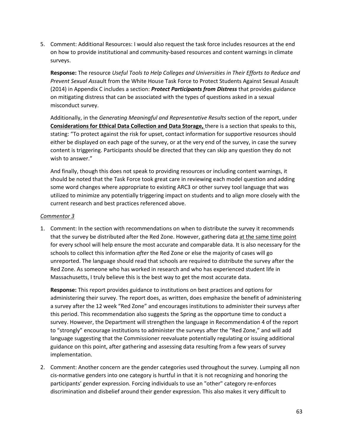5. Comment: Additional Resources: I would also request the task force includes resources at the end on how to provide institutional and community-based resources and content warnings in climate surveys.

**Response:** The resource *Useful Tools to Help Colleges and Universities in Their Efforts to Reduce and Prevent Sexual Ass*ault from the White House Task Force to Protect Students Against Sexual Assault (2014) in Appendix C includes a section: *Protect Participants from Distress* that provides guidance on mitigating distress that can be associated with the types of questions asked in a sexual misconduct survey.

Additionally, in the *Generating Meaningful and Representative Results* section of the report, under **Considerations for Ethical Data Collection and Data Storage,** there is a section that speaks to this, stating: "To protect against the risk for upset, contact information for supportive resources should either be displayed on each page of the survey, or at the very end of the survey, in case the survey content is triggering. Participants should be directed that they can skip any question they do not wish to answer."

And finally, though this does not speak to providing resources or including content warnings, it should be noted that the Task Force took great care in reviewing each model question and adding some word changes where appropriate to existing ARC3 or other survey tool language that was utilized to minimize any potentially triggering impact on students and to align more closely with the current research and best practices referenced above.

## *Commentor 3*

1. Comment: In the section with recommendations on when to distribute the survey it recommends that the survey be distributed after the Red Zone. However, gathering data at the same time point for every school will help ensure the most accurate and comparable data. It is also necessary for the schools to collect this information *after* the Red Zone or else the majority of cases will go unreported. The language should read that schools are required to distribute the survey after the Red Zone. As someone who has worked in research and who has experienced student life in Massachusetts, I truly believe this is the best way to get the most accurate data.

**Response:** This report provides guidance to institutions on best practices and options for administering their survey. The report does, as written, does emphasize the benefit of administering a survey after the 12 week "Red Zone" and encourages institutions to administer their surveys after this period. This recommendation also suggests the Spring as the opportune time to conduct a survey. However, the Department will strengthen the language in Recommendation 4 of the report to "strongly" encourage institutions to administer the surveys after the "Red Zone," and will add language suggesting that the Commissioner reevaluate potentially regulating or issuing additional guidance on this point, after gathering and assessing data resulting from a few years of survey implementation.

2. Comment: Another concern are the gender categories used throughout the survey. Lumping all non cis-normative genders into one category is hurtful in that it is not recognizing and honoring the participants' gender expression. Forcing individuals to use an "other" category re-enforces discrimination and disbelief around their gender expression. This also makes it very difficult to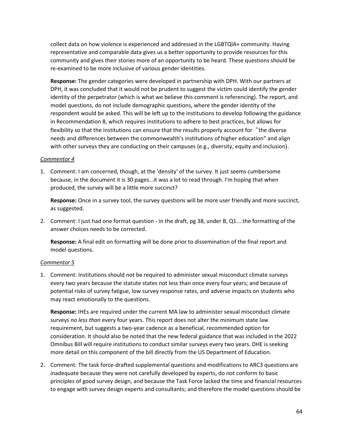collect data on how violence is experienced and addressed in the LGBTQIA+ community. Having representative and comparable data gives us a better opportunity to provide resources for this community and gives their stories more of an opportunity to be heard. These questions should be re-examined to be more inclusive of various gender identities.

**Response:** The gender categories were developed in partnership with DPH. With our partners at DPH, it was concluded that it would not be prudent to suggest the victim could identify the gender identity of the perpetrator (which is what we believe this comment is referencing). The report, and model questions, do not include demographic questions, where the gender identity of the respondent would be asked. This will be left up to the institutions to develop following the guidance in Recommendation 8, which requires institutions to adhere to best practices, but allows for flexibility so that the institutions can ensure that the results properly account for "the diverse" needs and differences between the commonwealth's institutions of higher education" and align with other surveys they are conducting on their campuses (e.g., diversity, equity and inclusion).

#### *Commentor 4*

1. Comment: I am concerned, though, at the 'density' of the survey. It just seems cumbersome because, in the document it is 30 pages...it was a lot to read through. I'm hoping that when produced, the survey will be a little more succinct?

**Response:** Once in a survey tool, the survey questions will be more user friendly and more succinct, as suggested.

2. Comment: I just had one format question - in the draft, pg 38, under B, Q1....the formatting of the answer choices needs to be corrected.

**Response:** A final edit on formatting will be done prior to dissemination of the final report and model questions.

## *Commentor 5*

1. Comment: Institutions should not be required to administer sexual misconduct climate surveys every two years because the statute states not less than once every four years; and because of potential risks of survey fatigue, low survey response rates, and adverse impacts on students who may react emotionally to the questions.

**Response:** IHEs are required under the current MA law to administer sexual misconduct climate surveys *no less than* every four years. This report does not alter the minimum state law requirement, but suggests a two-year cadence as a beneficial, recommended option for consideration. It should also be noted that the new federal guidance that was included in the 2022 Omnibus Bill will require institutions to conduct similar surveys every two years. DHE is seeking more detail on this component of the bill directly from the US Department of Education.

2. Comment: The task force-drafted supplemental questions and modifications to ARC3 questions are inadequate because they were not carefully developed by experts, do not conform to basic principles of good survey design, and because the Task Force lacked the time and financial resources to engage with survey design experts and consultants; and therefore the model questions should be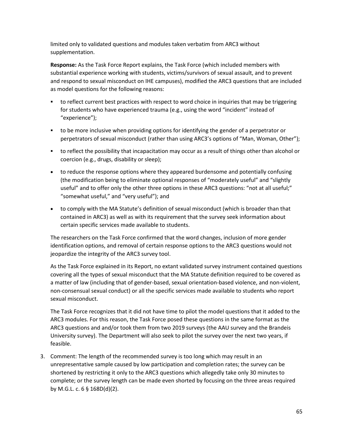limited only to validated questions and modules taken verbatim from ARC3 without supplementation.

**Response:** As the Task Force Report explains, the Task Force (which included members with substantial experience working with students, victims/survivors of sexual assault, and to prevent and respond to sexual misconduct on IHE campuses), modified the ARC3 questions that are included as model questions for the following reasons:

- to reflect current best practices with respect to word choice in inquiries that may be triggering for students who have experienced trauma (e.g., using the word "incident" instead of "experience");
- to be more inclusive when providing options for identifying the gender of a perpetrator or perpetrators of sexual misconduct (rather than using ARC3's options of "Man, Woman, Other");
- to reflect the possibility that incapacitation may occur as a result of things other than alcohol or coercion (e.g., drugs, disability or sleep);
- to reduce the response options where they appeared burdensome and potentially confusing (the modification being to eliminate optional responses of "moderately useful" and "slightly useful" and to offer only the other three options in these ARC3 questions: "not at all useful;" "somewhat useful," and "very useful"); and
- to comply with the MA Statute's definition of sexual misconduct (which is broader than that contained in ARC3) as well as with its requirement that the survey seek information about certain specific services made available to students.

The researchers on the Task Force confirmed that the word changes, inclusion of more gender identification options, and removal of certain response options to the ARC3 questions would not jeopardize the integrity of the ARC3 survey tool.

As the Task Force explained in its Report, no extant validated survey instrument contained questions covering all the types of sexual misconduct that the MA Statute definition required to be covered as a matter of law (including that of gender-based, sexual orientation-based violence, and non-violent, non-consensual sexual conduct) or all the specific services made available to students who report sexual misconduct.

The Task Force recognizes that it did not have time to pilot the model questions that it added to the ARC3 modules. For this reason, the Task Force posed these questions in the same format as the ARC3 questions and and/or took them from two 2019 surveys (the AAU survey and the Brandeis University survey). The Department will also seek to pilot the survey over the next two years, if feasible.

3. Comment: The length of the recommended survey is too long which may result in an unrepresentative sample caused by low participation and completion rates; the survey can be shortened by restricting it only to the ARC3 questions which allegedly take only 30 minutes to complete; or the survey length can be made even shorted by focusing on the three areas required by M.G.L. c. 6 § 168D(d)(2).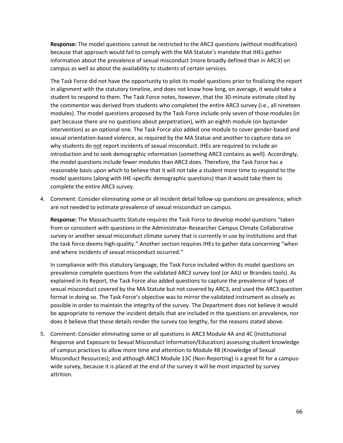**Response:** The model questions cannot be restricted to the ARC3 questions (without modification) because that approach would fail to comply with the MA Statute's mandate that IHEs gather information about the prevalence of sexual misconduct (more broadly defined than in ARC3) on campus as well as about the availability to students of certain services.

The Task Force did not have the opportunity to pilot its model questions prior to finalizing the report in alignment with the statutory timeline, and does not know how long, on average, it would take a student to respond to them. The Task Force notes, however, that the 30-minute estimate cited by the commentor was derived from students who completed the entire ARC3 survey (i.e., all nineteen modules). The model questions proposed by the Task Force include only seven of those modules (in part because there are no questions about perpetration), with an eighth module (on bystander intervention) as an optional one. The Task Force also added one module to cover gender-based and sexual orientation-based violence, as required by the MA Statue and another to capture data on why students do not report incidents of sexual misconduct. IHEs are required to include an introduction and to seek demographic information (something ARC3 contains as well). Accordingly, the model questions include fewer modules than ARC3 does. Therefore, the Task Force has a reasonable basis upon which to believe that it will not take a student more time to respond to the model questions (along with IHE-specific demographic questions) than it would take them to complete the entire ARC3 survey.

4. Comment: Consider eliminating some or all incident detail follow-up questions on prevalence, which are not needed to estimate prevalence of sexual misconduct on campus.

**Response:** The Massachusetts Statute requires the Task Force to develop model questions "taken from or consistent with questions in the Administrator-Researcher Campus Climate Collaborative survey or another sexual misconduct climate survey that is currently in use by institutions and that the task force deems high-quality." Another section requires IHEs to gather data concerning "when and where incidents of sexual misconduct occurred."

In compliance with this statutory language, the Task Force included within its model questions on prevalence complete questions from the validated ARC3 survey tool (or AAU or Brandeis tools). As explained in its Report, the Task Force also added questions to capture the prevalence of types of sexual misconduct covered by the MA Statute but not covered by ARC3, and used the ARC3 question format in doing so. The Task Force's objective was to mirror the validated instrument as closely as possible in order to maintain the integrity of the survey. The Department does not believe it would be appropriate to remove the incident details that are included in the questions on prevalence, nor does it believe that these details render the survey too lengthy, for the reasons stated above.

5. Comment: Consider eliminating some or all questions in ARC3 Module 4A and 4C (Institutional Response and Exposure to Sexual Misconduct Information/Education) assessing student knowledge of campus practices to allow more time and attention to Module 4B (Knowledge of Sexual Misconduct Resources); and although ARC3 Module 13C (Non-Reporting) is a great fit for a campuswide survey, because it is placed at the end of the survey it will be most impacted by survey attrition.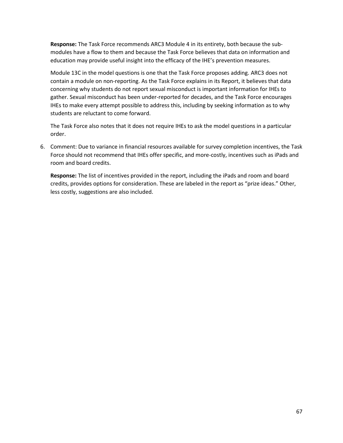**Response:** The Task Force recommends ARC3 Module 4 in its entirety, both because the submodules have a flow to them and because the Task Force believes that data on information and education may provide useful insight into the efficacy of the IHE's prevention measures.

Module 13C in the model questions is one that the Task Force proposes adding. ARC3 does not contain a module on non-reporting. As the Task Force explains in its Report, it believes that data concerning why students do not report sexual misconduct is important information for IHEs to gather. Sexual misconduct has been under-reported for decades, and the Task Force encourages IHEs to make every attempt possible to address this, including by seeking information as to why students are reluctant to come forward.

The Task Force also notes that it does not require IHEs to ask the model questions in a particular order.

6. Comment: Due to variance in financial resources available for survey completion incentives, the Task Force should not recommend that IHEs offer specific, and more-costly, incentives such as iPads and room and board credits.

**Response:** The list of incentives provided in the report, including the iPads and room and board credits, provides options for consideration. These are labeled in the report as "prize ideas." Other, less costly, suggestions are also included.